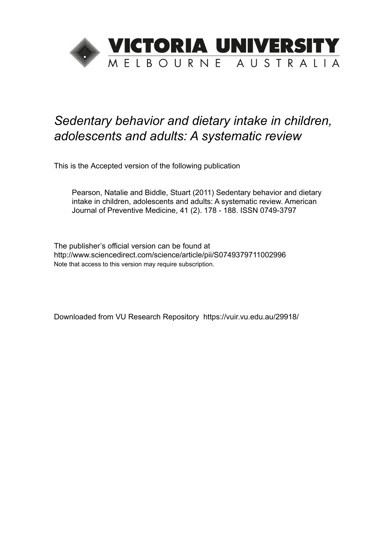

# *Sedentary behavior and dietary intake in children, adolescents and adults: A systematic review*

This is the Accepted version of the following publication

Pearson, Natalie and Biddle, Stuart (2011) Sedentary behavior and dietary intake in children, adolescents and adults: A systematic review. American Journal of Preventive Medicine, 41 (2). 178 - 188. ISSN 0749-3797

The publisher's official version can be found at http://www.sciencedirect.com/science/article/pii/S0749379711002996 Note that access to this version may require subscription.

Downloaded from VU Research Repository https://vuir.vu.edu.au/29918/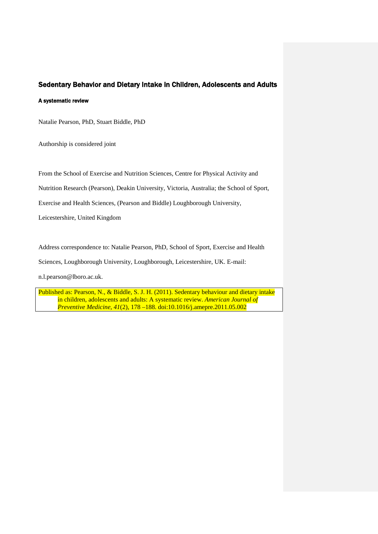# Sedentary Behavior and Dietary Intake in Children, Adolescents and Adults

#### A systematic review

Natalie Pearson, PhD, Stuart Biddle, PhD

Authorship is considered joint

From the School of Exercise and Nutrition Sciences, Centre for Physical Activity and

Nutrition Research (Pearson), Deakin University, Victoria, Australia; the School of Sport,

Exercise and Health Sciences, (Pearson and Biddle) Loughborough University,

Leicestershire, United Kingdom

Address correspondence to: Natalie Pearson, PhD, School of Sport, Exercise and Health

Sciences, Loughborough University, Loughborough, Leicestershire, UK. E-mail:

[n.l.pearson@lboro.ac.uk.](mailto:natalie.pearson@deakin.edu.au)

Published as: Pearson, N., & Biddle, S. J. H. (2011). Sedentary behaviour and dietary intake in children, adolescents and adults: A systematic review. *American Journal of Preventive Medicine, 41*(2), 178 –188. doi:10.1016/j.amepre.2011.05.002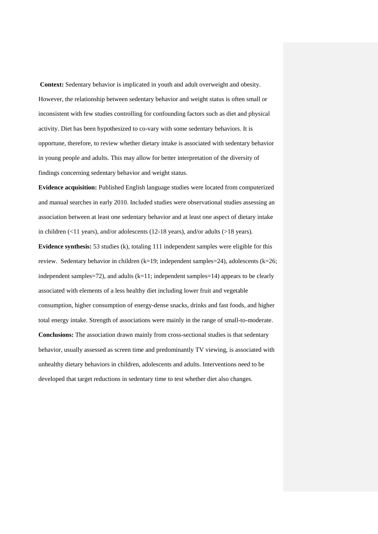**Context:** Sedentary behavior is implicated in youth and adult overweight and obesity. However, the relationship between sedentary behavior and weight status is often small or inconsistent with few studies controlling for confounding factors such as diet and physical activity. Diet has been hypothesized to co-vary with some sedentary behaviors. It is opportune, therefore, to review whether dietary intake is associated with sedentary behavior in young people and adults. This may allow for better interpretation of the diversity of findings concerning sedentary behavior and weight status.

**Evidence acquisition:** Published English language studies were located from computerized and manual searches in early 2010. Included studies were observational studies assessing an association between at least one sedentary behavior and at least one aspect of dietary intake in children (<11 years), and/or adolescents (12-18 years), and/or adults (>18 years).

**Evidence synthesis:** 53 studies (k), totaling 111 independent samples were eligible for this review. Sedentary behavior in children (k=19; independent samples=24), adolescents (k=26; independent samples=72), and adults  $(k=11;$  independent samples=14) appears to be clearly associated with elements of a less healthy diet including lower fruit and vegetable consumption, higher consumption of energy-dense snacks, drinks and fast foods, and higher total energy intake. Strength of associations were mainly in the range of small-to-moderate. **Conclusions:** The association drawn mainly from cross-sectional studies is that sedentary behavior, usually assessed as screen time and predominantly TV viewing, is associated with unhealthy dietary behaviors in children, adolescents and adults. Interventions need to be developed that target reductions in sedentary time to test whether diet also changes.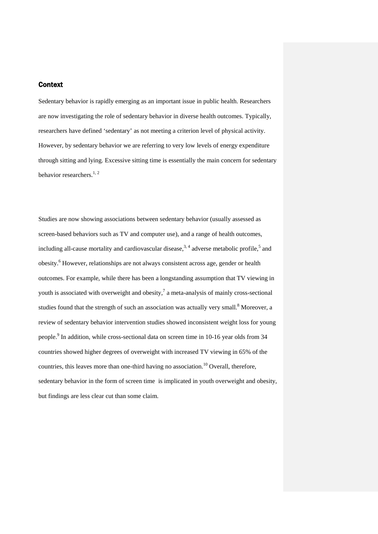# **Context**

Sedentary behavior is rapidly emerging as an important issue in public health. Researchers are now investigating the role of sedentary behavior in diverse health outcomes. Typically, researchers have defined 'sedentary' as not meeting a criterion level of physical activity. However, by sedentary behavior we are referring to very low levels of energy expenditure through sitting and lying. Excessive sitting time is essentially the main concern for sedentary behavior researchers.<sup>1, 2</sup>

Studies are now showing associations between sedentary behavior (usually assessed as screen-based behaviors such as TV and computer use), and a range of health outcomes, including all-cause mortality and cardiovascular disease,  $3, 4$  adverse metabolic profile,  $5$  and obesity.6 However, relationships are not always consistent across age, gender or health outcomes. For example, while there has been a longstanding assumption that TV viewing in youth is associated with overweight and obesity, $\frac{7}{4}$  a meta-analysis of mainly cross-sectional studies found that the strength of such an association was actually very small.<sup>8</sup> Moreover, a review of sedentary behavior intervention studies showed inconsistent weight loss for young people.9 In addition, while cross-sectional data on screen time in 10-16 year olds from 34 countries showed higher degrees of overweight with increased TV viewing in 65% of the countries, this leaves more than one-third having no association.<sup>10</sup> Overall, therefore, sedentary behavior in the form of screen time is implicated in youth overweight and obesity, but findings are less clear cut than some claim.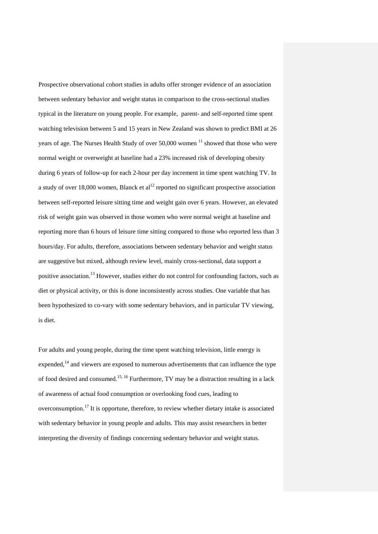Prospective observational cohort studies in adults offer stronger evidence of an association between sedentary behavior and weight status in comparison to the cross-sectional studies typical in the literature on young people. For example, parent- and self-reported time spent watching television between 5 and 15 years in New Zealand was shown to predict BMI at 26 years of age. The Nurses Health Study of over  $50,000$  women  $11$  showed that those who were normal weight or overweight at baseline had a 23% increased risk of developing obesity during 6 years of follow-up for each 2-hour per day increment in time spent watching TV. In a study of over 18,000 women, Blanck et  $al<sup>12</sup>$  reported no significant prospective association between self-reported leisure sitting time and weight gain over 6 years. However, an elevated risk of weight gain was observed in those women who were normal weight at baseline and reporting more than 6 hours of leisure time sitting compared to those who reported less than 3 hours/day. For adults, therefore, associations between sedentary behavior and weight status are suggestive but mixed, although review level, mainly cross-sectional, data support a positive association.13 However, studies either do not control for confounding factors, such as diet or physical activity, or this is done inconsistently across studies. One variable that has been hypothesized to co-vary with some sedentary behaviors, and in particular TV viewing, is diet.

For adults and young people, during the time spent watching television, little energy is expended, $14$  and viewers are exposed to numerous advertisements that can influence the type of food desired and consumed.15, 16 Furthermore, TV may be a distraction resulting in a lack of awareness of actual food consumption or overlooking food cues, leading to overconsumption.<sup>17</sup> It is opportune, therefore, to review whether dietary intake is associated with sedentary behavior in young people and adults. This may assist researchers in better interpreting the diversity of findings concerning sedentary behavior and weight status.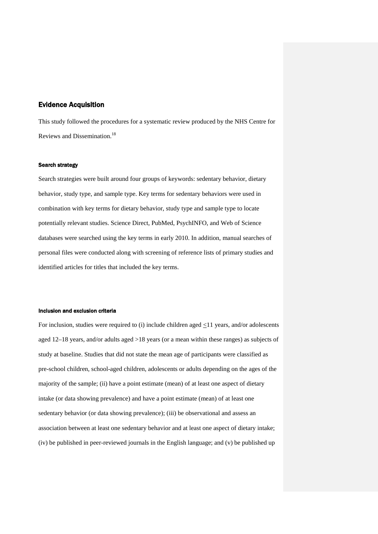# Evidence Acquisition

This study followed the procedures for a systematic review produced by the NHS Centre for Reviews and Dissemination.<sup>18</sup>

## Search strategy

Search strategies were built around four groups of keywords: sedentary behavior, dietary behavior, study type, and sample type. Key terms for sedentary behaviors were used in combination with key terms for dietary behavior, study type and sample type to locate potentially relevant studies. Science Direct, PubMed, PsychINFO, and Web of Science databases were searched using the key terms in early 2010. In addition, manual searches of personal files were conducted along with screening of reference lists of primary studies and identified articles for titles that included the key terms.

## Inclusion and exclusion criteria

For inclusion, studies were required to (i) include children aged  $\leq 11$  years, and/or adolescents aged 12–18 years, and/or adults aged >18 years (or a mean within these ranges) as subjects of study at baseline. Studies that did not state the mean age of participants were classified as pre-school children, school-aged children, adolescents or adults depending on the ages of the majority of the sample; (ii) have a point estimate (mean) of at least one aspect of dietary intake (or data showing prevalence) and have a point estimate (mean) of at least one sedentary behavior (or data showing prevalence); (iii) be observational and assess an association between at least one sedentary behavior and at least one aspect of dietary intake; (iv) be published in peer-reviewed journals in the English language; and (v) be published up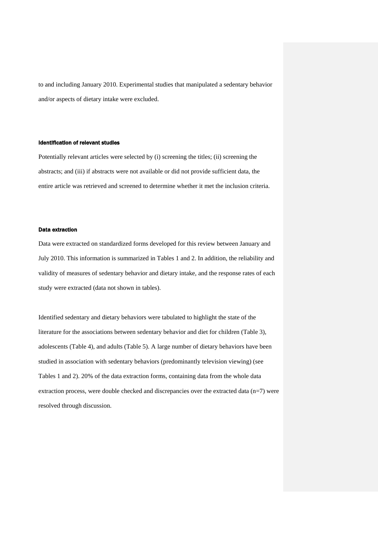to and including January 2010. Experimental studies that manipulated a sedentary behavior and/or aspects of dietary intake were excluded.

#### Identification of relevant studies

Potentially relevant articles were selected by (i) screening the titles; (ii) screening the abstracts; and (iii) if abstracts were not available or did not provide sufficient data, the entire article was retrieved and screened to determine whether it met the inclusion criteria.

#### Data extraction

Data were extracted on standardized forms developed for this review between January and July 2010. This information is summarized in Tables 1 and 2. In addition, the reliability and validity of measures of sedentary behavior and dietary intake, and the response rates of each study were extracted (data not shown in tables).

Identified sedentary and dietary behaviors were tabulated to highlight the state of the literature for the associations between sedentary behavior and diet for children (Table 3), adolescents (Table 4), and adults (Table 5). A large number of dietary behaviors have been studied in association with sedentary behaviors (predominantly television viewing) (see Tables 1 and 2). 20% of the data extraction forms, containing data from the whole data extraction process, were double checked and discrepancies over the extracted data  $(n=7)$  were resolved through discussion.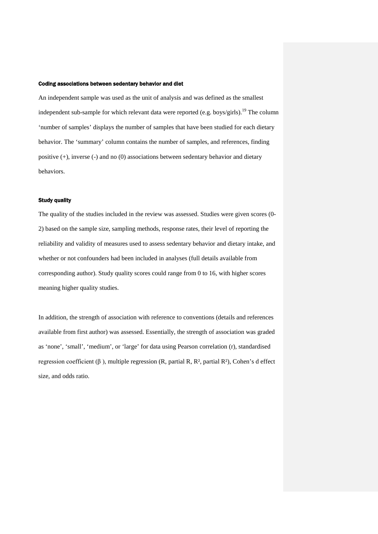#### Coding associations between sedentary behavior and diet

An independent sample was used as the unit of analysis and was defined as the smallest independent sub-sample for which relevant data were reported (e.g. boys/girls).<sup>19</sup> The column 'number of samples' displays the number of samples that have been studied for each dietary behavior. The 'summary' column contains the number of samples, and references, finding positive (+), inverse (-) and no (0) associations between sedentary behavior and dietary behaviors.

#### Study quality

The quality of the studies included in the review was assessed. Studies were given scores (0- 2) based on the sample size, sampling methods, response rates, their level of reporting the reliability and validity of measures used to assess sedentary behavior and dietary intake, and whether or not confounders had been included in analyses (full details available from corresponding author). Study quality scores could range from 0 to 16, with higher scores meaning higher quality studies.

In addition, the strength of association with reference to conventions (details and references available from first author) was assessed. Essentially, the strength of association was graded as 'none', 'small', 'medium', or 'large' for data using Pearson correlation (r), standardised regression coefficient (β ), multiple regression (R, partial R, R², partial R²), Cohen's d effect size, and odds ratio.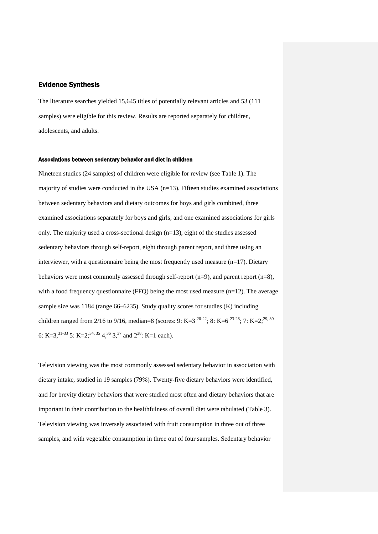## Evidence Synthesis

The literature searches yielded 15,645 titles of potentially relevant articles and 53 (111 samples) were eligible for this review. Results are reported separately for children, adolescents, and adults.

#### Associations between sedentary behavior and diet in children

Nineteen studies (24 samples) of children were eligible for review (see Table 1). The majority of studies were conducted in the USA  $(n=13)$ . Fifteen studies examined associations between sedentary behaviors and dietary outcomes for boys and girls combined, three examined associations separately for boys and girls, and one examined associations for girls only. The majority used a cross-sectional design (n=13), eight of the studies assessed sedentary behaviors through self-report, eight through parent report, and three using an interviewer, with a questionnaire being the most frequently used measure  $(n=17)$ . Dietary behaviors were most commonly assessed through self-report (n=9), and parent report (n=8), with a food frequency questionnaire (FFQ) being the most used measure  $(n=12)$ . The average sample size was 1184 (range 66–6235). Study quality scores for studies (K) including children ranged from 2/16 to 9/16, median=8 (scores: 9: K=3  $^{20-22}$ ; 8: K=6  $^{23-28}$ ; 7: K=2;<sup>29, 30</sup> 6: K=3,<sup>31-33</sup> 5: K=2;<sup>34, 35</sup> 4,<sup>36</sup> 3,<sup>37</sup> and  $2^{38}$ : K=1 each).

Television viewing was the most commonly assessed sedentary behavior in association with dietary intake, studied in 19 samples (79%). Twenty-five dietary behaviors were identified, and for brevity dietary behaviors that were studied most often and dietary behaviors that are important in their contribution to the healthfulness of overall diet were tabulated (Table 3). Television viewing was inversely associated with fruit consumption in three out of three samples, and with vegetable consumption in three out of four samples. Sedentary behavior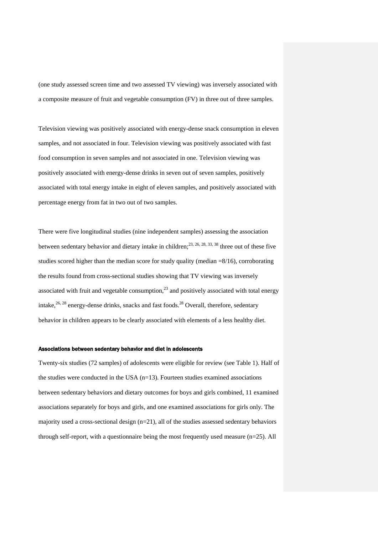(one study assessed screen time and two assessed TV viewing) was inversely associated with a composite measure of fruit and vegetable consumption (FV) in three out of three samples.

Television viewing was positively associated with energy-dense snack consumption in eleven samples, and not associated in four. Television viewing was positively associated with fast food consumption in seven samples and not associated in one. Television viewing was positively associated with energy-dense drinks in seven out of seven samples, positively associated with total energy intake in eight of eleven samples, and positively associated with percentage energy from fat in two out of two samples.

There were five longitudinal studies (nine independent samples) assessing the association between sedentary behavior and dietary intake in children;  $^{23, 26, 28, 33, 38}$  three out of these five studies scored higher than the median score for study quality (median =8/16), corroborating the results found from cross-sectional studies showing that TV viewing was inversely associated with fruit and vegetable consumption, $^{23}$  and positively associated with total energy intake,<sup>26, 28</sup> energy-dense drinks, snacks and fast foods.<sup>28</sup> Overall, therefore, sedentary behavior in children appears to be clearly associated with elements of a less healthy diet.

#### Associations between sedentary behavior and diet in adolescents

Twenty-six studies (72 samples) of adolescents were eligible for review (see Table 1). Half of the studies were conducted in the USA (n=13). Fourteen studies examined associations between sedentary behaviors and dietary outcomes for boys and girls combined, 11 examined associations separately for boys and girls, and one examined associations for girls only. The majority used a cross-sectional design (n=21), all of the studies assessed sedentary behaviors through self-report, with a questionnaire being the most frequently used measure (n=25). All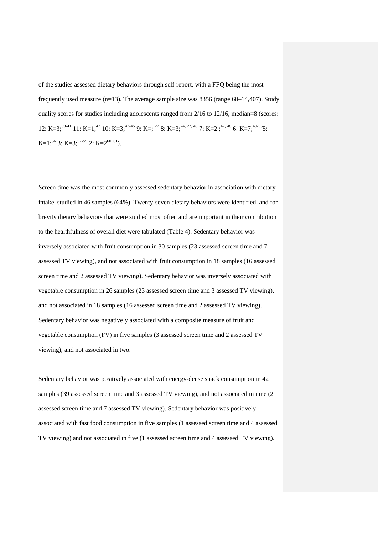of the studies assessed dietary behaviors through self-report, with a FFQ being the most frequently used measure  $(n=13)$ . The average sample size was 8356 (range 60–14,407). Study quality scores for studies including adolescents ranged from 2/16 to 12/16, median=8 (scores: 12: K=3;<sup>39-41</sup> 11: K=1;<sup>42</sup> 10: K=3;<sup>43-45</sup> 9: K=;<sup>22</sup> 8: K=3;<sup>24, 27, 46</sup> 7: K=2;<sup>47, 48</sup> 6: K=7;<sup>49-55</sup>5: K=1;<sup>56</sup> 3: K=3;<sup>57-59</sup> 2: K=2<sup>60, 61</sup>).

Screen time was the most commonly assessed sedentary behavior in association with dietary intake, studied in 46 samples (64%). Twenty-seven dietary behaviors were identified, and for brevity dietary behaviors that were studied most often and are important in their contribution to the healthfulness of overall diet were tabulated (Table 4). Sedentary behavior was inversely associated with fruit consumption in 30 samples (23 assessed screen time and 7 assessed TV viewing), and not associated with fruit consumption in 18 samples (16 assessed screen time and 2 assessed TV viewing). Sedentary behavior was inversely associated with vegetable consumption in 26 samples (23 assessed screen time and 3 assessed TV viewing), and not associated in 18 samples (16 assessed screen time and 2 assessed TV viewing). Sedentary behavior was negatively associated with a composite measure of fruit and vegetable consumption (FV) in five samples (3 assessed screen time and 2 assessed TV viewing), and not associated in two.

Sedentary behavior was positively associated with energy-dense snack consumption in 42 samples (39 assessed screen time and 3 assessed TV viewing), and not associated in nine (2 assessed screen time and 7 assessed TV viewing). Sedentary behavior was positively associated with fast food consumption in five samples (1 assessed screen time and 4 assessed TV viewing) and not associated in five (1 assessed screen time and 4 assessed TV viewing).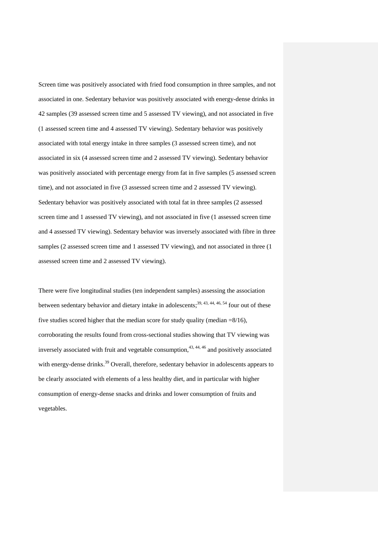Screen time was positively associated with fried food consumption in three samples, and not associated in one. Sedentary behavior was positively associated with energy-dense drinks in 42 samples (39 assessed screen time and 5 assessed TV viewing), and not associated in five (1 assessed screen time and 4 assessed TV viewing). Sedentary behavior was positively associated with total energy intake in three samples (3 assessed screen time), and not associated in six (4 assessed screen time and 2 assessed TV viewing). Sedentary behavior was positively associated with percentage energy from fat in five samples (5 assessed screen time), and not associated in five (3 assessed screen time and 2 assessed TV viewing). Sedentary behavior was positively associated with total fat in three samples (2 assessed screen time and 1 assessed TV viewing), and not associated in five (1 assessed screen time and 4 assessed TV viewing). Sedentary behavior was inversely associated with fibre in three samples (2 assessed screen time and 1 assessed TV viewing), and not associated in three (1 assessed screen time and 2 assessed TV viewing).

There were five longitudinal studies (ten independent samples) assessing the association between sedentary behavior and dietary intake in adolescents;<sup>39, 43, 44, 46, 54</sup> four out of these five studies scored higher that the median score for study quality (median =8/16), corroborating the results found from cross-sectional studies showing that TV viewing was inversely associated with fruit and vegetable consumption, $43, 44, 46$  and positively associated with energy-dense drinks.<sup>39</sup> Overall, therefore, sedentary behavior in adolescents appears to be clearly associated with elements of a less healthy diet, and in particular with higher consumption of energy-dense snacks and drinks and lower consumption of fruits and vegetables.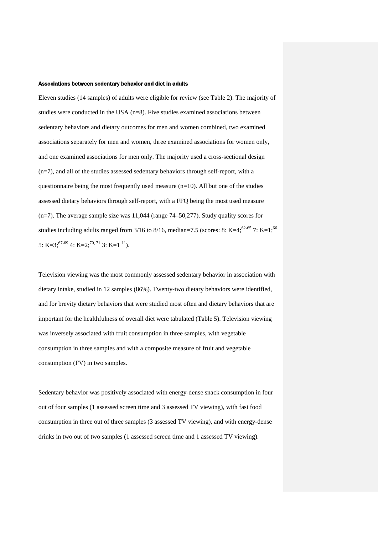#### Associations between sedentary behavior and diet in adults

Eleven studies (14 samples) of adults were eligible for review (see Table 2). The majority of studies were conducted in the USA (n=8). Five studies examined associations between sedentary behaviors and dietary outcomes for men and women combined, two examined associations separately for men and women, three examined associations for women only, and one examined associations for men only. The majority used a cross-sectional design (n=7), and all of the studies assessed sedentary behaviors through self-report, with a questionnaire being the most frequently used measure  $(n=10)$ . All but one of the studies assessed dietary behaviors through self-report, with a FFQ being the most used measure (n=7). The average sample size was 11,044 (range 74–50,277). Study quality scores for studies including adults ranged from 3/16 to 8/16, median=7.5 (scores: 8: K=4;<sup>62-65</sup> 7: K=1;<sup>66</sup> 5: K=3;<sup>67-69</sup> 4: K=2;<sup>70, 71</sup> 3: K=1<sup>11</sup>).

Television viewing was the most commonly assessed sedentary behavior in association with dietary intake, studied in 12 samples (86%). Twenty-two dietary behaviors were identified, and for brevity dietary behaviors that were studied most often and dietary behaviors that are important for the healthfulness of overall diet were tabulated (Table 5). Television viewing was inversely associated with fruit consumption in three samples, with vegetable consumption in three samples and with a composite measure of fruit and vegetable consumption (FV) in two samples.

Sedentary behavior was positively associated with energy-dense snack consumption in four out of four samples (1 assessed screen time and 3 assessed TV viewing), with fast food consumption in three out of three samples (3 assessed TV viewing), and with energy-dense drinks in two out of two samples (1 assessed screen time and 1 assessed TV viewing).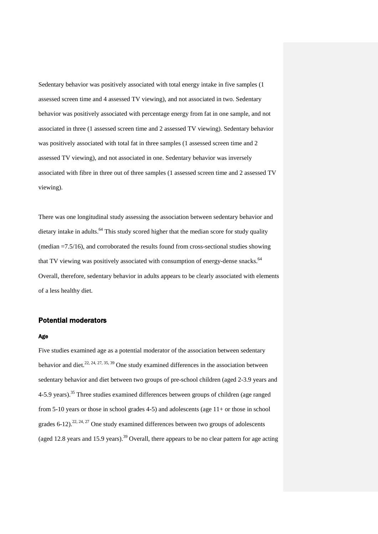Sedentary behavior was positively associated with total energy intake in five samples (1 assessed screen time and 4 assessed TV viewing), and not associated in two. Sedentary behavior was positively associated with percentage energy from fat in one sample, and not associated in three (1 assessed screen time and 2 assessed TV viewing). Sedentary behavior was positively associated with total fat in three samples (1 assessed screen time and 2 assessed TV viewing), and not associated in one. Sedentary behavior was inversely associated with fibre in three out of three samples (1 assessed screen time and 2 assessed TV viewing).

There was one longitudinal study assessing the association between sedentary behavior and dietary intake in adults.<sup>64</sup> This study scored higher that the median score for study quality (median =7.5/16), and corroborated the results found from cross-sectional studies showing that TV viewing was positively associated with consumption of energy-dense snacks.<sup>64</sup> Overall, therefore, sedentary behavior in adults appears to be clearly associated with elements of a less healthy diet.

#### Potential moderators

#### Age

Five studies examined age as a potential moderator of the association between sedentary behavior and diet.<sup>22, 24, 27, 35, 39</sup> One study examined differences in the association between sedentary behavior and diet between two groups of pre-school children (aged 2-3.9 years and 4-5.9 years).<sup>35</sup> Three studies examined differences between groups of children (age ranged from 5-10 years or those in school grades 4-5) and adolescents (age 11+ or those in school grades 6-12).<sup>22, 24, 27</sup> One study examined differences between two groups of adolescents (aged 12.8 years and 15.9 years).<sup>39</sup> Overall, there appears to be no clear pattern for age acting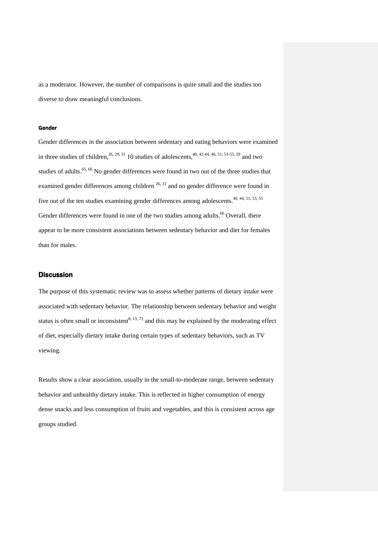as a moderator. However, the number of comparisons is quite small and the studies too diverse to draw meaningful conclusions.

#### Gender

Gender differences in the association between sedentary and eating behaviors were examined in three studies of children,<sup>26, 29, 31</sup> 10 studies of adolescents,<sup>40, 42-44, 46, 51, 53-55, 59</sup> and two studies of adults.<sup>65, 66</sup> No gender differences were found in two out of the three studies that examined gender differences among children  $26, 31$  and no gender difference were found in five out of the ten studies examining gender differences among adolescents.<sup>40, 44, 51, 53, 55</sup> Gender differences were found in one of the two studies among adults.<sup>66</sup> Overall, there appear to be more consistent associations between sedentary behavior and diet for females than for males.

# **Discussion**

The purpose of this systematic review was to assess whether patterns of dietary intake were associated with sedentary behavior. The relationship between sedentary behavior and weight status is often small or inconsistent<sup>8, 13, 72</sup> and this may be explained by the moderating effect of diet, especially dietary intake during certain types of sedentary behaviors, such as TV viewing.

Results show a clear association, usually in the small-to-moderate range, between sedentary behavior and unhealthy dietary intake. This is reflected in higher consumption of energy dense snacks and less consumption of fruits and vegetables, and this is consistent across age groups studied.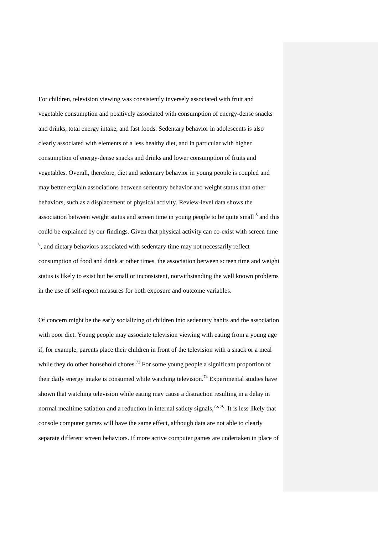For children, television viewing was consistently inversely associated with fruit and vegetable consumption and positively associated with consumption of energy-dense snacks and drinks, total energy intake, and fast foods. Sedentary behavior in adolescents is also clearly associated with elements of a less healthy diet, and in particular with higher consumption of energy-dense snacks and drinks and lower consumption of fruits and vegetables. Overall, therefore, diet and sedentary behavior in young people is coupled and may better explain associations between sedentary behavior and weight status than other behaviors, such as a displacement of physical activity. Review-level data shows the association between weight status and screen time in young people to be quite small  $^8$  and this could be explained by our findings. Given that physical activity can co-exist with screen time  $8<sup>8</sup>$ , and dietary behaviors associated with sedentary time may not necessarily reflect consumption of food and drink at other times, the association between screen time and weight status is likely to exist but be small or inconsistent, notwithstanding the well known problems in the use of self-report measures for both exposure and outcome variables.

Of concern might be the early socializing of children into sedentary habits and the association with poor diet. Young people may associate television viewing with eating from a young age if, for example, parents place their children in front of the television with a snack or a meal while they do other household chores.<sup>73</sup> For some young people a significant proportion of their daily energy intake is consumed while watching television.<sup>74</sup> Experimental studies have shown that watching television while eating may cause a distraction resulting in a delay in normal mealtime satiation and a reduction in internal satiety signals,<sup>75,76</sup>. It is less likely that console computer games will have the same effect, although data are not able to clearly separate different screen behaviors. If more active computer games are undertaken in place of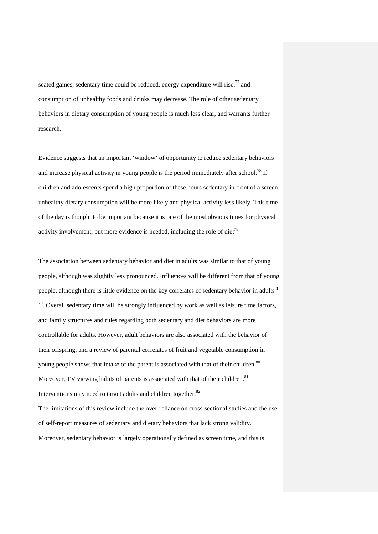seated games, sedentary time could be reduced, energy expenditure will rise, $^{77}$  and consumption of unhealthy foods and drinks may decrease. The role of other sedentary behaviors in dietary consumption of young people is much less clear, and warrants further research.

Evidence suggests that an important 'window' of opportunity to reduce sedentary behaviors and increase physical activity in young people is the period immediately after school.<sup>78</sup> If children and adolescents spend a high proportion of these hours sedentary in front of a screen, unhealthy dietary consumption will be more likely and physical activity less likely. This time of the day is thought to be important because it is one of the most obvious times for physical activity involvement, but more evidence is needed, including the role of diet<sup>78</sup>

The association between sedentary behavior and diet in adults was similar to that of young people, although was slightly less pronounced. Influences will be different from that of young people, although there is little evidence on the key correlates of sedentary behavior in adults <sup>1,</sup>  $79$ . Overall sedentary time will be strongly influenced by work as well as leisure time factors, and family structures and rules regarding both sedentary and diet behaviors are more controllable for adults. However, adult behaviors are also associated with the behavior of their offspring, and a review of parental correlates of fruit and vegetable consumption in young people shows that intake of the parent is associated with that of their children.<sup>80</sup> Moreover, TV viewing habits of parents is associated with that of their children.<sup>81</sup> Interventions may need to target adults and children together.<sup>82</sup>

The limitations of this review include the over-reliance on cross-sectional studies and the use of self-report measures of sedentary and dietary behaviors that lack strong validity. Moreover, sedentary behavior is largely operationally defined as screen time, and this is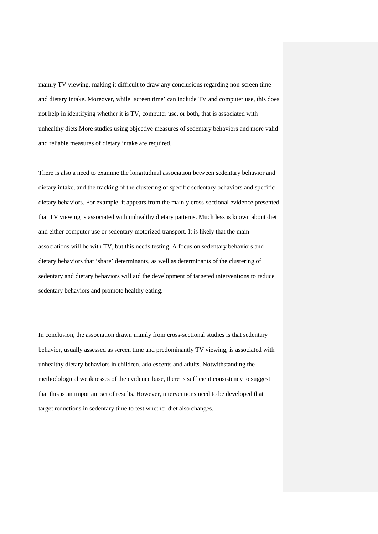mainly TV viewing, making it difficult to draw any conclusions regarding non-screen time and dietary intake. Moreover, while 'screen time' can include TV and computer use, this does not help in identifying whether it is TV, computer use, or both, that is associated with unhealthy diets.More studies using objective measures of sedentary behaviors and more valid and reliable measures of dietary intake are required.

There is also a need to examine the longitudinal association between sedentary behavior and dietary intake, and the tracking of the clustering of specific sedentary behaviors and specific dietary behaviors. For example, it appears from the mainly cross-sectional evidence presented that TV viewing is associated with unhealthy dietary patterns. Much less is known about diet and either computer use or sedentary motorized transport. It is likely that the main associations will be with TV, but this needs testing. A focus on sedentary behaviors and dietary behaviors that 'share' determinants, as well as determinants of the clustering of sedentary and dietary behaviors will aid the development of targeted interventions to reduce sedentary behaviors and promote healthy eating.

In conclusion, the association drawn mainly from cross-sectional studies is that sedentary behavior, usually assessed as screen time and predominantly TV viewing, is associated with unhealthy dietary behaviors in children, adolescents and adults. Notwithstanding the methodological weaknesses of the evidence base, there is sufficient consistency to suggest that this is an important set of results. However, interventions need to be developed that target reductions in sedentary time to test whether diet also changes.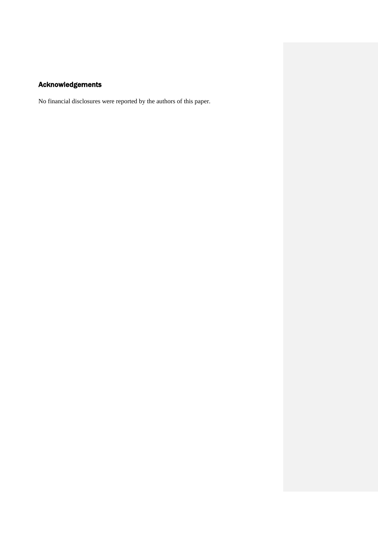# Acknowledgements

No financial disclosures were reported by the authors of this paper.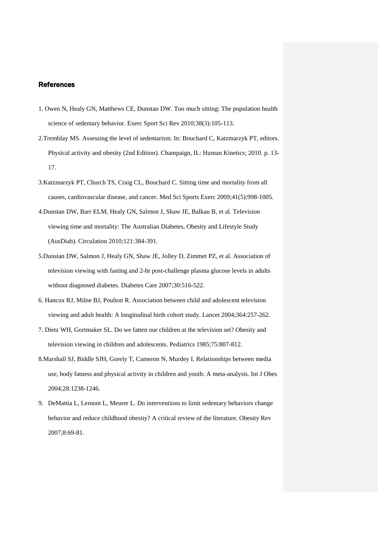# References

- 1. Owen N, Healy GN, Matthews CE, Dunstan DW. Too much sitting: The population health science of sedentary behavior. Exerc Sport Sci Rev 2010;38(3):105-113.
- 2.Tremblay MS. Assessing the level of sedentarism. In: Bouchard C, Katzmarzyk PT, editors. Physical activity and obesity (2nd Edition). Champaign, IL: Human Kinetics; 2010. p. 13- 17.
- 3.Katzmarzyk PT, Church TS, Craig CL, Bouchard C. Sitting time and mortality from all causes, cardiovascular disease, and cancer. Med Sci Sports Exerc 2009;41(5):998-1005.
- 4.Dunstan DW, Barr ELM, Healy GN, Salmon J, Shaw JE, Balkau B, et al. Television viewing time and mortality: The Australian Diabetes, Obesity and Lifestyle Study (AusDiab). Circulation 2010;121:384-391.
- 5.Dunstan DW, Salmon J, Healy GN, Shaw JE, Jolley D, Zimmet PZ, et al. Association of television viewing with fasting and 2-hr post-challenge plasma glucose levels in adults without diagnosed diabetes. Diabetes Care 2007;30:516-522.
- 6. Hancox RJ, Milne BJ, Poulton R. Association between child and adolescent television viewing and adult health: A longitudinal birth cohort study. Lancet 2004;364:257-262.
- 7. Dietz WH, Gortmaker SL. Do we fatten our children at the television set? Obesity and television viewing in children and adolescents. Pediatrics 1985;75:807-812.
- 8.Marshall SJ, Biddle SJH, Gorely T, Cameron N, Murdey I. Relationships between media use, body fatness and physical activity in children and youth: A meta-analysis. Int J Obes 2004;28:1238-1246.
- 9. DeMattia L, Lemont L, Meurer L. Do interventions to limit sedentary behaviors change behavior and reduce childhood obesity? A critical review of the literature. Obesity Rev 2007;8:69-81.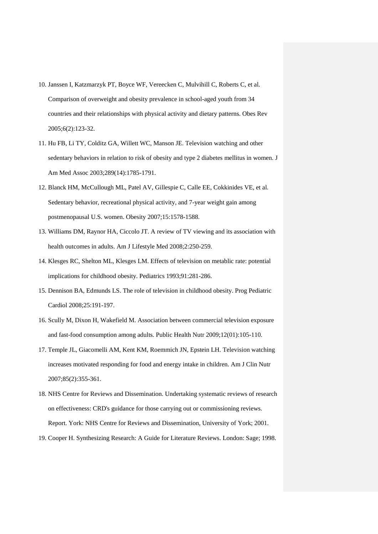- 10. Janssen I, Katzmarzyk PT, Boyce WF, Vereecken C, Mulvihill C, Roberts C, et al. Comparison of overweight and obesity prevalence in school-aged youth from 34 countries and their relationships with physical activity and dietary patterns. Obes Rev 2005;6(2):123-32.
- 11. Hu FB, Li TY, Colditz GA, Willett WC, Manson JE. Television watching and other sedentary behaviors in relation to risk of obesity and type 2 diabetes mellitus in women. J Am Med Assoc 2003;289(14):1785-1791.
- 12. Blanck HM, McCullough ML, Patel AV, Gillespie C, Calle EE, Cokkinides VE, et al. Sedentary behavior, recreational physical activity, and 7-year weight gain among postmenopausal U.S. women. Obesity 2007;15:1578-1588.
- 13. Williams DM, Raynor HA, Ciccolo JT. A review of TV viewing and its association with health outcomes in adults. Am J Lifestyle Med 2008;2:250-259.
- 14. Klesges RC, Shelton ML, Klesges LM. Effects of television on metablic rate: potential implications for childhood obesity. Pediatrics 1993;91:281-286.
- 15. Dennison BA, Edmunds LS. The role of television in childhood obesity. Prog Pediatric Cardiol 2008;25:191-197.
- 16. Scully M, Dixon H, Wakefield M. Association between commercial television exposure and fast-food consumption among adults. Public Health Nutr 2009;12(01):105-110.
- 17. Temple JL, Giacomelli AM, Kent KM, Roemmich JN, Epstein LH. Television watching increases motivated responding for food and energy intake in children. Am J Clin Nutr 2007;85(2):355-361.
- 18. NHS Centre for Reviews and Dissemination. Undertaking systematic reviews of research on effectiveness: CRD's guidance for those carrying out or commissioning reviews. Report. York: NHS Centre for Reviews and Dissemination, University of York; 2001.
- 19. Cooper H. Synthesizing Research: A Guide for Literature Reviews. London: Sage; 1998.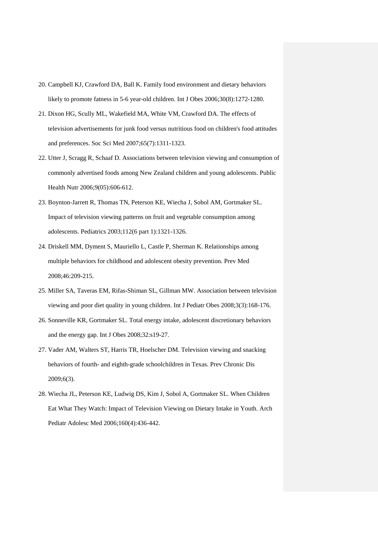- 20. Campbell KJ, Crawford DA, Ball K. Family food environment and dietary behaviors likely to promote fatness in 5-6 year-old children. Int J Obes 2006;30(8):1272-1280.
- 21. Dixon HG, Scully ML, Wakefield MA, White VM, Crawford DA. The effects of television advertisements for junk food versus nutritious food on children's food attitudes and preferences. Soc Sci Med 2007;65(7):1311-1323.
- 22. Utter J, Scragg R, Schaaf D. Associations between television viewing and consumption of commonly advertised foods among New Zealand children and young adolescents. Public Health Nutr 2006;9(05):606-612.
- 23. Boynton-Jarrett R, Thomas TN, Peterson KE, Wiecha J, Sobol AM, Gortmaker SL. Impact of television viewing patterns on fruit and vegetable consumption among adolescents. Pediatrics 2003;112(6 part 1):1321-1326.
- 24. Driskell MM, Dyment S, Mauriello L, Castle P, Sherman K. Relationships among multiple behaviors for childhood and adolescent obesity prevention. Prev Med 2008;46:209-215.
- 25. Miller SA, Taveras EM, Rifas-Shiman SL, Gillman MW. Association between television viewing and poor diet quality in young children. Int J Pediatr Obes 2008;3(3):168-176.
- 26. Sonneville KR, Gortmaker SL. Total energy intake, adolescent discretionary behaviors and the energy gap. Int J Obes 2008;32:s19-27.
- 27. Vader AM, Walters ST, Harris TR, Hoelscher DM. Television viewing and snacking behaviors of fourth- and eighth-grade schoolchildren in Texas. Prev Chronic Dis 2009;6(3).
- 28. Wiecha JL, Peterson KE, Ludwig DS, Kim J, Sobol A, Gortmaker SL. When Children Eat What They Watch: Impact of Television Viewing on Dietary Intake in Youth. Arch Pediatr Adolesc Med 2006;160(4):436-442.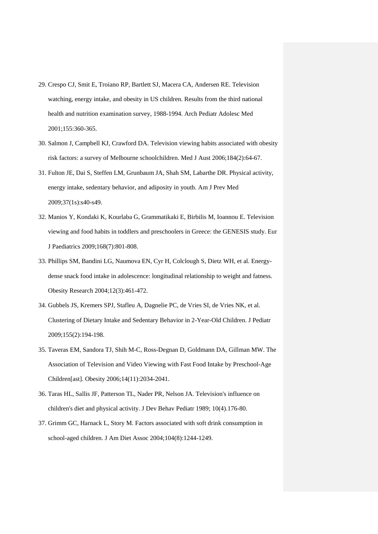- 29. Crespo CJ, Smit E, Troiano RP, Bartlett SJ, Macera CA, Andersen RE. Television watching, energy intake, and obesity in US children. Results from the third national health and nutrition examination survey, 1988-1994. Arch Pediatr Adolesc Med 2001;155:360-365.
- 30. Salmon J, Campbell KJ, Crawford DA. Television viewing habits associated with obesity risk factors: a survey of Melbourne schoolchildren. Med J Aust 2006;184(2):64-67.
- 31. Fulton JE, Dai S, Steffen LM, Grunbaum JA, Shah SM, Labarthe DR. Physical activity, energy intake, sedentary behavior, and adiposity in youth. Am J Prev Med 2009;37(1s):s40-s49.
- 32. Manios Y, Kondaki K, Kourlaba G, Grammatikaki E, Birbilis M, Ioannou E. Television viewing and food habits in toddlers and preschoolers in Greece: the GENESIS study. Eur J Paediatrics 2009;168(7):801-808.
- 33. Phillips SM, Bandini LG, Naumova EN, Cyr H, Colclough S, Dietz WH, et al. Energydense snack food intake in adolescence: longitudinal relationship to weight and fatness. Obesity Research 2004;12(3):461-472.
- 34. Gubbels JS, Kremers SPJ, Stafleu A, Dagnelie PC, de Vries SI, de Vries NK, et al. Clustering of Dietary Intake and Sedentary Behavior in 2-Year-Old Children. J Pediatr 2009;155(2):194-198.
- 35. Taveras EM, Sandora TJ, Shih M-C, Ross-Degnan D, Goldmann DA, Gillman MW. The Association of Television and Video Viewing with Fast Food Intake by Preschool-Age Children[ast]. Obesity 2006;14(11):2034-2041.
- 36. Taras HL, Sallis JF, Patterson TL, Nader PR, Nelson JA. Television's influence on children's diet and physical activity. J Dev Behav Pediatr 1989; 10(4).176-80.
- 37. Grimm GC, Harnack L, Story M. Factors associated with soft drink consumption in school-aged children. J Am Diet Assoc 2004;104(8):1244-1249.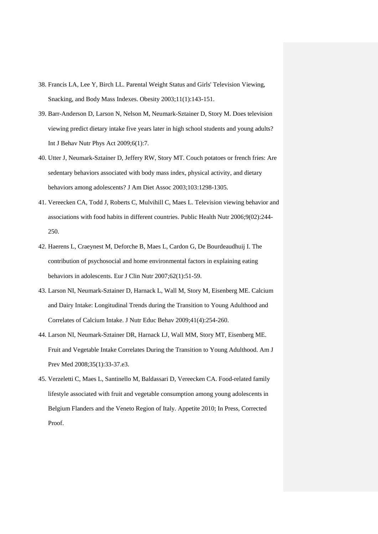- 38. Francis LA, Lee Y, Birch LL. Parental Weight Status and Girls' Television Viewing, Snacking, and Body Mass Indexes. Obesity 2003;11(1):143-151.
- 39. Barr-Anderson D, Larson N, Nelson M, Neumark-Sztainer D, Story M. Does television viewing predict dietary intake five years later in high school students and young adults? Int J Behav Nutr Phys Act 2009;6(1):7.
- 40. Utter J, Neumark-Sztainer D, Jeffery RW, Story MT. Couch potatoes or french fries: Are sedentary behaviors associated with body mass index, physical activity, and dietary behaviors among adolescents? J Am Diet Assoc 2003;103:1298-1305.
- 41. Vereecken CA, Todd J, Roberts C, Mulvihill C, Maes L. Television viewing behavior and associations with food habits in different countries. Public Health Nutr 2006;9(02):244- 250.
- 42. Haerens L, Craeynest M, Deforche B, Maes L, Cardon G, De Bourdeaudhuij I. The contribution of psychosocial and home environmental factors in explaining eating behaviors in adolescents. Eur J Clin Nutr 2007;62(1):51-59.
- 43. Larson NI, Neumark-Sztainer D, Harnack L, Wall M, Story M, Eisenberg ME. Calcium and Dairy Intake: Longitudinal Trends during the Transition to Young Adulthood and Correlates of Calcium Intake. J Nutr Educ Behav 2009;41(4):254-260.
- 44. Larson NI, Neumark-Sztainer DR, Harnack LJ, Wall MM, Story MT, Eisenberg ME. Fruit and Vegetable Intake Correlates During the Transition to Young Adulthood. Am J Prev Med 2008;35(1):33-37.e3.
- 45. Verzeletti C, Maes L, Santinello M, Baldassari D, Vereecken CA. Food-related family lifestyle associated with fruit and vegetable consumption among young adolescents in Belgium Flanders and the Veneto Region of Italy. Appetite 2010; In Press, Corrected Proof.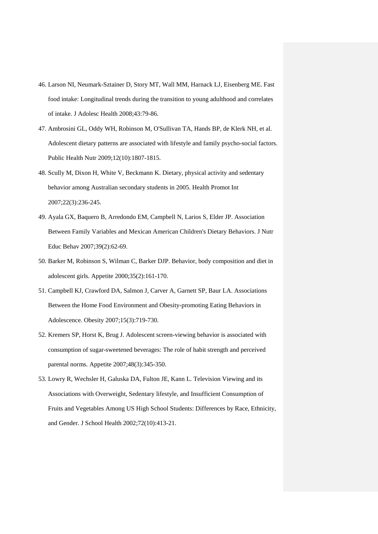- 46. Larson NI, Neumark-Sztainer D, Story MT, Wall MM, Harnack LJ, Eisenberg ME. Fast food intake: Longitudinal trends during the transition to young adulthood and correlates of intake. J Adolesc Health 2008;43:79-86.
- 47. Ambrosini GL, Oddy WH, Robinson M, O'Sullivan TA, Hands BP, de Klerk NH, et al. Adolescent dietary patterns are associated with lifestyle and family psycho-social factors. Public Health Nutr 2009;12(10):1807-1815.
- 48. Scully M, Dixon H, White V, Beckmann K. Dietary, physical activity and sedentary behavior among Australian secondary students in 2005. Health Promot Int 2007;22(3):236-245.
- 49. Ayala GX, Baquero B, Arredondo EM, Campbell N, Larios S, Elder JP. Association Between Family Variables and Mexican American Children's Dietary Behaviors. J Nutr Educ Behav 2007;39(2):62-69.
- 50. Barker M, Robinson S, Wilman C, Barker DJP. Behavior, body composition and diet in adolescent girls. Appetite 2000;35(2):161-170.
- 51. Campbell KJ, Crawford DA, Salmon J, Carver A, Garnett SP, Baur LA. Associations Between the Home Food Environment and Obesity-promoting Eating Behaviors in Adolescence. Obesity 2007;15(3):719-730.
- 52. Kremers SP, Horst K, Brug J. Adolescent screen-viewing behavior is associated with consumption of sugar-sweetened beverages: The role of habit strength and perceived parental norms. Appetite 2007;48(3):345-350.
- 53. Lowry R, Wechsler H, Galuska DA, Fulton JE, Kann L. Television Viewing and its Associations with Overweight, Sedentary lifestyle, and Insufficient Consumption of Fruits and Vegetables Among US High School Students: Differences by Race, Ethnicity, and Gender. J School Health 2002;72(10):413-21.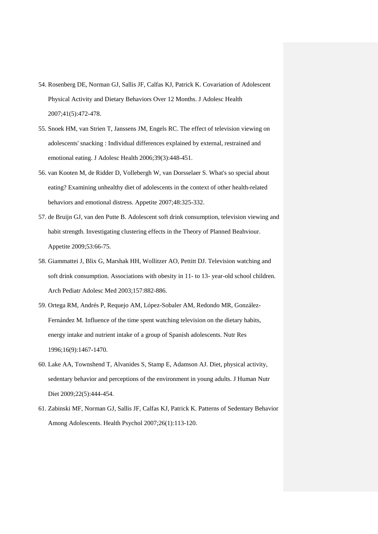- 54. Rosenberg DE, Norman GJ, Sallis JF, Calfas KJ, Patrick K. Covariation of Adolescent Physical Activity and Dietary Behaviors Over 12 Months. J Adolesc Health 2007;41(5):472-478.
- 55. Snoek HM, van Strien T, Janssens JM, Engels RC. The effect of television viewing on adolescents' snacking : Individual differences explained by external, restrained and emotional eating. J Adolesc Health 2006;39(3):448-451.
- 56. van Kooten M, de Ridder D, Vollebergh W, van Dorsselaer S. What's so special about eating? Examining unhealthy diet of adolescents in the context of other health-related behaviors and emotional distress. Appetite 2007;48:325-332.
- 57. de Bruijn GJ, van den Putte B. Adolescent soft drink consumption, television viewing and habit strength. Investigating clustering effects in the Theory of Planned Beahviour. Appetite 2009;53:66-75.
- 58. Giammattei J, Blix G, Marshak HH, Wollitzer AO, Pettitt DJ. Television watching and soft drink consumption. Associations with obesity in 11- to 13- year-old school children. Arch Pediatr Adolesc Med 2003;157:882-886.
- 59. Ortega RM, Andrés P, Requejo AM, López-Sobaler AM, Redondo MR, González-Fernández M. Influence of the time spent watching television on the dietary habits, energy intake and nutrient intake of a group of Spanish adolescents. Nutr Res 1996;16(9):1467-1470.
- 60. Lake AA, Townshend T, Alvanides S, Stamp E, Adamson AJ. Diet, physical activity, sedentary behavior and perceptions of the environment in young adults. J Human Nutr Diet 2009;22(5):444-454.
- 61. Zabinski MF, Norman GJ, Sallis JF, Calfas KJ, Patrick K. Patterns of Sedentary Behavior Among Adolescents. Health Psychol 2007;26(1):113-120.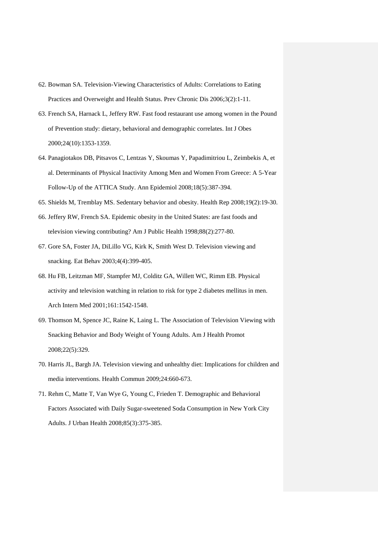- 62. Bowman SA. Television-Viewing Characteristics of Adults: Correlations to Eating Practices and Overweight and Health Status. Prev Chronic Dis 2006;3(2):1-11.
- 63. French SA, Harnack L, Jeffery RW. Fast food restaurant use among women in the Pound of Prevention study: dietary, behavioral and demographic correlates. Int J Obes 2000;24(10):1353-1359.
- 64. Panagiotakos DB, Pitsavos C, Lentzas Y, Skoumas Y, Papadimitriou L, Zeimbekis A, et al. Determinants of Physical Inactivity Among Men and Women From Greece: A 5-Year Follow-Up of the ATTICA Study. Ann Epidemiol 2008;18(5):387-394.
- 65. Shields M, Tremblay MS. Sedentary behavior and obesity. Health Rep 2008;19(2):19-30.
- 66. Jeffery RW, French SA. Epidemic obesity in the United States: are fast foods and television viewing contributing? Am J Public Health 1998;88(2):277-80.
- 67. Gore SA, Foster JA, DiLillo VG, Kirk K, Smith West D. Television viewing and snacking. Eat Behav 2003;4(4):399-405.
- 68. Hu FB, Leitzman MF, Stampfer MJ, Colditz GA, Willett WC, Rimm EB. Physical activity and television watching in relation to risk for type 2 diabetes mellitus in men. Arch Intern Med 2001;161:1542-1548.
- 69. Thomson M, Spence JC, Raine K, Laing L. The Association of Television Viewing with Snacking Behavior and Body Weight of Young Adults. Am J Health Promot 2008;22(5):329.
- 70. Harris JL, Bargh JA. Television viewing and unhealthy diet: Implications for children and media interventions. Health Commun 2009;24:660-673.
- 71. Rehm C, Matte T, Van Wye G, Young C, Frieden T. Demographic and Behavioral Factors Associated with Daily Sugar-sweetened Soda Consumption in New York City Adults. J Urban Health 2008;85(3):375-385.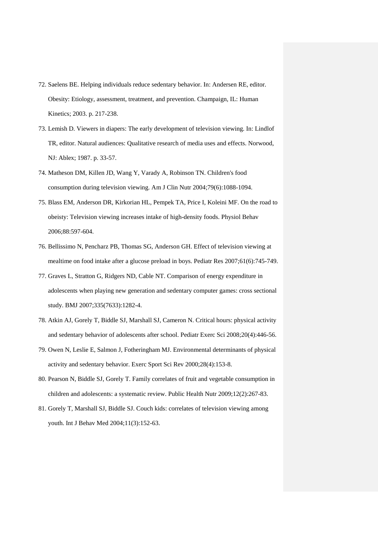- 72. Saelens BE. Helping individuals reduce sedentary behavior. In: Andersen RE, editor. Obesity: Etiology, assessment, treatment, and prevention. Champaign, IL: Human Kinetics; 2003. p. 217-238.
- 73. Lemish D. Viewers in diapers: The early development of television viewing. In: Lindlof TR, editor. Natural audiences: Qualitative research of media uses and effects. Norwood, NJ: Ablex; 1987. p. 33-57.
- 74. Matheson DM, Killen JD, Wang Y, Varady A, Robinson TN. Children's food consumption during television viewing. Am J Clin Nutr 2004;79(6):1088-1094.
- 75. Blass EM, Anderson DR, Kirkorian HL, Pempek TA, Price I, Koleini MF. On the road to obeisty: Television viewing increases intake of high-density foods. Physiol Behav 2006;88:597-604.
- 76. Bellissimo N, Pencharz PB, Thomas SG, Anderson GH. Effect of television viewing at mealtime on food intake after a glucose preload in boys. Pediatr Res 2007;61(6):745-749.
- 77. Graves L, Stratton G, Ridgers ND, Cable NT. Comparison of energy expenditure in adolescents when playing new generation and sedentary computer games: cross sectional study. BMJ 2007;335(7633):1282-4.
- 78. Atkin AJ, Gorely T, Biddle SJ, Marshall SJ, Cameron N. Critical hours: physical activity and sedentary behavior of adolescents after school. Pediatr Exerc Sci 2008;20(4):446-56.
- 79. Owen N, Leslie E, Salmon J, Fotheringham MJ. Environmental determinants of physical activity and sedentary behavior. Exerc Sport Sci Rev 2000;28(4):153-8.
- 80. Pearson N, Biddle SJ, Gorely T. Family correlates of fruit and vegetable consumption in children and adolescents: a systematic review. Public Health Nutr 2009;12(2):267-83.
- 81. Gorely T, Marshall SJ, Biddle SJ. Couch kids: correlates of television viewing among youth. Int J Behav Med 2004;11(3):152-63.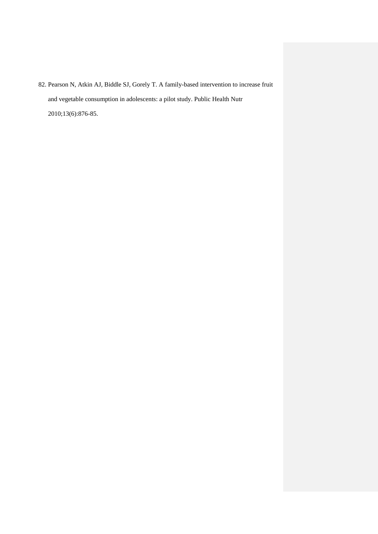82. Pearson N, Atkin AJ, Biddle SJ, Gorely T. A family-based intervention to increase fruit and vegetable consumption in adolescents: a pilot study. Public Health Nutr 2010;13(6):876-85.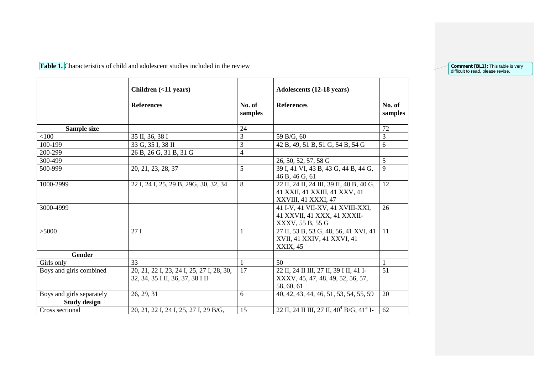Table 1. Characteristics of child and adolescent studies included in the review

| <b>Comment [BL1]:</b> This table is very |  |  |
|------------------------------------------|--|--|
| difficult to read, please revise.        |  |  |

|                           | Children (<11 years)                                                          |                   | Adolescents (12-18 years)                                                                        |                   |
|---------------------------|-------------------------------------------------------------------------------|-------------------|--------------------------------------------------------------------------------------------------|-------------------|
|                           | <b>References</b>                                                             | No. of<br>samples | <b>References</b>                                                                                | No. of<br>samples |
| Sample size               |                                                                               | 24                |                                                                                                  | 72                |
| < 100                     | 35 II, 36, 38 I                                                               | 3                 | 59 B/G, 60                                                                                       | $\overline{3}$    |
| 100-199                   | 33 G, 35 I, 38 II                                                             | 3                 | 42 B, 49, 51 B, 51 G, 54 B, 54 G                                                                 | 6                 |
| 200-299                   | 26 B, 26 G, 31 B, 31 G                                                        | $\overline{4}$    |                                                                                                  |                   |
| 300-499                   |                                                                               |                   | 26, 50, 52, 57, 58 G                                                                             | $\overline{5}$    |
| 500-999                   | 20, 21, 23, 28, 37                                                            | 5                 | 39 I, 41 VI, 43 B, 43 G, 44 B, 44 G,<br>46 B, 46 G, 61                                           | 9                 |
| 1000-2999                 | 22 I, 24 I, 25, 29 B, 29G, 30, 32, 34                                         | 8                 | 22 II, 24 II, 24 III, 39 II, 40 B, 40 G,<br>41 XXII, 41 XXIII, 41 XXV, 41<br>XXVIII, 41 XXXI, 47 | $\overline{12}$   |
| 3000-4999                 |                                                                               |                   | 41 I-V, 41 VII-XV, 41 XVIII-XXI,<br>41 XXVII, 41 XXX, 41 XXXII-<br>XXXV, 55 B, 55 G              | 26                |
| >5000                     | 27I                                                                           | 1                 | 27 II, 53 B, 53 G, 48, 56, 41 XVI, 41<br>XVII, 41 XXIV, 41 XXVI, 41<br>XXIX, 45                  | 11                |
| <b>Gender</b>             |                                                                               |                   |                                                                                                  |                   |
| Girls only                | 33                                                                            | $\mathbf{1}$      | 50                                                                                               | $\mathbf{1}$      |
| Boys and girls combined   | 20, 21, 22 I, 23, 24 I, 25, 27 I, 28, 30,<br>32, 34, 35 I II, 36, 37, 38 I II | 17                | 22 II, 24 II III, 27 II, 39 I II, 41 I-<br>XXXV, 45, 47, 48, 49, 52, 56, 57,<br>58, 60, 61       | 51                |
| Boys and girls separately | 26, 29, 31                                                                    | 6                 | 40, 42, 43, 44, 46, 51, 53, 54, 55, 59                                                           | 20                |
| <b>Study design</b>       |                                                                               |                   |                                                                                                  |                   |
| Cross sectional           | 20, 21, 22 I, 24 I, 25, 27 I, 29 B/G,                                         | 15                | 22 II, 24 II III, 27 II, $40^4$ B/G, $41^5$ I-                                                   | 62                |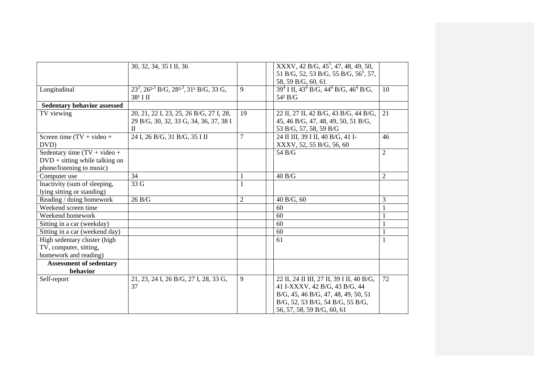|                                    | 30, 32, 34, 35 I II, 36                               |                | XXXV, 42 B/G, $45^5$ , 47, 48, 49, 50,                                     |                |
|------------------------------------|-------------------------------------------------------|----------------|----------------------------------------------------------------------------|----------------|
|                                    |                                                       |                | 51 B/G, 52, 53 B/G, 55 B/G, 56 <sup>5</sup> , 57,                          |                |
|                                    |                                                       |                | 58, 59 B/G, 60, 61                                                         |                |
| Longitudinal                       | $23^3$ , $26^{23}$ B/G, $28^{23}$ , $31^1$ B/G, 33 G, | 9              | $394$ I II, 43 <sup>4</sup> B/G, 44 <sup>4</sup> B/G, 46 <sup>4</sup> B/G, | 10             |
|                                    | 38 <sup>1</sup> I II                                  |                | 54 <sup>2</sup> B/G                                                        |                |
| <b>Sedentary behavior assessed</b> |                                                       |                |                                                                            |                |
| TV viewing                         | 20, 21, 22 I, 23, 25, 26 B/G, 27 I, 28,               | 19             | 22 II, 27 II, 42 B/G, 43 B/G, 44 B/G,                                      | 21             |
|                                    | 29 B/G, 30, 32, 33 G, 34, 36, 37, 38 I                |                | 45, 46 B/G, 47, 48, 49, 50, 51 B/G,                                        |                |
|                                    | $\mathbf{I}$                                          |                | 53 B/G, 57, 58, 59 B/G                                                     |                |
| Screen time $(TV + video +$        | 24 I, 26 B/G, 31 B/G, 35 I II                         | 7              | 24 II III, 39 I II, 40 B/G, 41 I-                                          | 46             |
| DVD)                               |                                                       |                | XXXV, 52, 55 B/G, 56, 60                                                   |                |
| Sedentary time $(TV + video +$     |                                                       |                | 54 B/G                                                                     | $\overline{2}$ |
| $DVD + sitting while talking on$   |                                                       |                |                                                                            |                |
| phone/listening to music)          |                                                       |                |                                                                            |                |
| Computer use                       | 34                                                    |                | 40 B/G                                                                     | $\overline{2}$ |
| Inactivity (sum of sleeping,       | 33 G                                                  | 1              |                                                                            |                |
| lying sitting or standing)         |                                                       |                |                                                                            |                |
| Reading / doing homework           | 26 B/G                                                | $\overline{2}$ | 40 B/G, 60                                                                 | 3              |
| Weekend screen time                |                                                       |                | 60                                                                         |                |
| Weekend homework                   |                                                       |                | 60                                                                         |                |
| Sitting in a car (weekday)         |                                                       |                | 60                                                                         |                |
| Sitting in a car (weekend day)     |                                                       |                | 60                                                                         | 1              |
| High sedentary cluster (high       |                                                       |                | 61                                                                         | 1              |
| TV, computer, sitting,             |                                                       |                |                                                                            |                |
| homework and reading)              |                                                       |                |                                                                            |                |
| <b>Assessment of sedentary</b>     |                                                       |                |                                                                            |                |
| behavior                           |                                                       |                |                                                                            |                |
| Self-report                        | 21, 23, 24 I, 26 B/G, 27 I, 28, 33 G,                 | 9              | 22 II, 24 II III, 27 II, 39 I II, 40 B/G,                                  | 72             |
|                                    | 37                                                    |                | 41 I-XXXV, 42 B/G, 43 B/G, 44                                              |                |
|                                    |                                                       |                | B/G, 45, 46 B/G, 47, 48, 49, 50, 51                                        |                |
|                                    |                                                       |                | B/G, 52, 53 B/G, 54 B/G, 55 B/G,                                           |                |
|                                    |                                                       |                | 56, 57, 58, 59 B/G, 60, 61                                                 |                |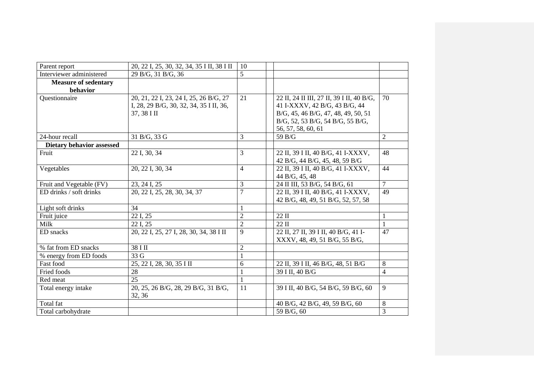| Parent report                           | 20, 22 I, 25, 30, 32, 34, 35 I II, 38 I II                                                       | 10             |                                                                                                                                                                             |                |
|-----------------------------------------|--------------------------------------------------------------------------------------------------|----------------|-----------------------------------------------------------------------------------------------------------------------------------------------------------------------------|----------------|
| Interviewer administered                | 29 B/G, 31 B/G, 36                                                                               | 5              |                                                                                                                                                                             |                |
| <b>Measure of sedentary</b><br>behavior |                                                                                                  |                |                                                                                                                                                                             |                |
| Questionnaire                           | 20, 21, 22 I, 23, 24 I, 25, 26 B/G, 27<br>I, 28, 29 B/G, 30, 32, 34, 35 I II, 36,<br>37, 38 I II | 21             | 22 II, 24 II III, 27 II, 39 I II, 40 B/G,<br>41 I-XXXV, 42 B/G, 43 B/G, 44<br>B/G, 45, 46 B/G, 47, 48, 49, 50, 51<br>B/G, 52, 53 B/G, 54 B/G, 55 B/G,<br>56, 57, 58, 60, 61 | 70             |
| 24-hour recall                          | 31 B/G, 33 G                                                                                     | 3              | 59 B/G                                                                                                                                                                      | $\overline{2}$ |
| Dietary behavior assessed               |                                                                                                  |                |                                                                                                                                                                             |                |
| Fruit                                   | 22 I, 30, 34                                                                                     | 3              | 22 II, 39 I II, 40 B/G, 41 I-XXXV,<br>42 B/G, 44 B/G, 45, 48, 59 B/G                                                                                                        | 48             |
| Vegetables                              | 20, 22 I, 30, 34                                                                                 | $\overline{4}$ | 22 II, 39 I II, 40 B/G, 41 I-XXXV,<br>44 B/G, 45, 48                                                                                                                        | 44             |
| Fruit and Vegetable (FV)                | 23, 24 I, 25                                                                                     | 3              | 24 II III, 53 B/G, 54 B/G, 61                                                                                                                                               | $\overline{7}$ |
| ED drinks / soft drinks                 | 20, 22 I, 25, 28, 30, 34, 37                                                                     | $\overline{7}$ | 22 II, 39 I II, 40 B/G, 41 I-XXXV,<br>42 B/G, 48, 49, 51 B/G, 52, 57, 58                                                                                                    | 49             |
| Light soft drinks                       | 34                                                                                               |                |                                                                                                                                                                             |                |
| Fruit juice                             | 22 I, 25                                                                                         | $\overline{2}$ | $22 \text{ II}$                                                                                                                                                             | 1              |
| Milk                                    | 22 I, 25                                                                                         | $\overline{2}$ | $22 \text{ II}$                                                                                                                                                             |                |
| ED snacks                               | 20, 22 I, 25, 27 I, 28, 30, 34, 38 I II                                                          | 9              | 22 II, 27 II, 39 I II, 40 B/G, 41 I-<br>XXXV, 48, 49, 51 B/G, 55 B/G,                                                                                                       | 47             |
| % fat from ED snacks                    | 38 I II                                                                                          | $\overline{2}$ |                                                                                                                                                                             |                |
| % energy from ED foods                  | 33 G                                                                                             | 1              |                                                                                                                                                                             |                |
| Fast food                               | 25, 22 I, 28, 30, 35 I II                                                                        | 6              | 22 II, 39 I II, 46 B/G, 48, 51 B/G                                                                                                                                          | 8              |
| Fried foods                             | 28                                                                                               |                | 39 I II, 40 B/G                                                                                                                                                             | $\overline{4}$ |
| Red meat                                | $\overline{25}$                                                                                  |                |                                                                                                                                                                             |                |
| Total energy intake                     | 20, 25, 26 B/G, 28, 29 B/G, 31 B/G,<br>32, 36                                                    | 11             | 39 I II, 40 B/G, 54 B/G, 59 B/G, 60                                                                                                                                         | 9              |
| Total fat                               |                                                                                                  |                | 40 B/G, 42 B/G, 49, 59 B/G, 60                                                                                                                                              | 8              |
| Total carbohydrate                      |                                                                                                  |                | 59 B/G, 60                                                                                                                                                                  | 3              |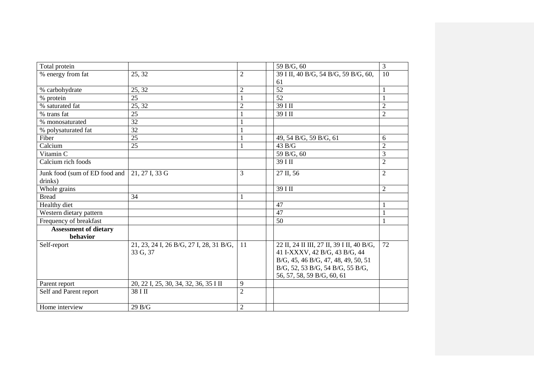| Total protein                 |                                         |                | 59 B/G, 60                                | 3              |
|-------------------------------|-----------------------------------------|----------------|-------------------------------------------|----------------|
| % energy from fat             | 25, 32                                  | $\overline{2}$ | 39 I II, 40 B/G, 54 B/G, 59 B/G, 60,      | 10             |
|                               |                                         |                | 61                                        |                |
| % carbohydrate                | 25, 32                                  | $\overline{2}$ | $\overline{52}$                           | 1              |
| % protein                     | 25                                      |                | 52                                        |                |
| % saturated fat               | 25, 32                                  | $\overline{2}$ | 39 I II                                   | $\overline{2}$ |
| % trans fat                   | 25                                      |                | 39 I II                                   | $\overline{2}$ |
| % monosaturated               | 32                                      |                |                                           |                |
| % polysaturated fat           | 32                                      |                |                                           |                |
| Fiber                         | $\overline{25}$                         |                | 49, 54 B/G, 59 B/G, 61                    | 6              |
| Calcium                       | 25                                      |                | 43 B/G                                    | $\overline{c}$ |
| Vitamin C                     |                                         |                | 59 B/G, 60                                | $\overline{3}$ |
| Calcium rich foods            |                                         |                | 39 I II                                   | $\overline{2}$ |
| Junk food (sum of ED food and | 21, 27 I, 33 G                          | 3              | 27 II, 56                                 | $\overline{2}$ |
| drinks)                       |                                         |                |                                           |                |
| Whole grains                  |                                         |                | 39 I II                                   | $\overline{2}$ |
| <b>Bread</b>                  | 34                                      |                |                                           |                |
| Healthy diet                  |                                         |                | 47                                        |                |
| Western dietary pattern       |                                         |                | 47                                        |                |
| Frequency of breakfast        |                                         |                | 50                                        |                |
| <b>Assessment of dietary</b>  |                                         |                |                                           |                |
| behavior                      |                                         |                |                                           |                |
| Self-report                   | 21, 23, 24 I, 26 B/G, 27 I, 28, 31 B/G, | 11             | 22 II, 24 II III, 27 II, 39 I II, 40 B/G, | 72             |
|                               | 33 G, 37                                |                | 41 I-XXXV, 42 B/G, 43 B/G, 44             |                |
|                               |                                         |                | B/G, 45, 46 B/G, 47, 48, 49, 50, 51       |                |
|                               |                                         |                | B/G, 52, 53 B/G, 54 B/G, 55 B/G,          |                |
|                               |                                         |                | 56, 57, 58, 59 B/G, 60, 61                |                |
| Parent report                 | 20, 22 I, 25, 30, 34, 32, 36, 35 I II   | 9              |                                           |                |
| Self and Parent report        | 38 I II                                 | $\overline{2}$ |                                           |                |
| Home interview                | 29B/G                                   | $\overline{2}$ |                                           |                |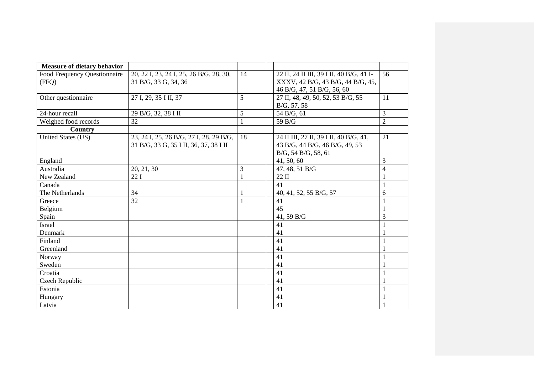| <b>Measure of dietary behavior</b> |                                         |    |                                          |                |
|------------------------------------|-----------------------------------------|----|------------------------------------------|----------------|
| Food Frequency Questionnaire       | 20, 22 I, 23, 24 I, 25, 26 B/G, 28, 30, | 14 | 22 II, 24 II III, 39 I II, 40 B/G, 41 I- | 56             |
| (FFQ)                              | 31 B/G, 33 G, 34, 36                    |    | XXXV, 42 B/G, 43 B/G, 44 B/G, 45,        |                |
|                                    |                                         |    | 46 B/G, 47, 51 B/G, 56, 60               |                |
| Other questionnaire                | 27 I, 29, 35 I II, 37                   | 5  | 27 II, 48, 49, 50, 52, 53 B/G, 55        | 11             |
|                                    |                                         |    | B/G, 57, 58                              |                |
| 24-hour recall                     | 29 B/G, 32, 38 I II                     | 5  | 54 B/G, 61                               | 3              |
| Weighed food records               | 32                                      |    | 59 B/G                                   | $\overline{2}$ |
| Country                            |                                         |    |                                          |                |
| United States (US)                 | 23, 24 I, 25, 26 B/G, 27 I, 28, 29 B/G, | 18 | 24 II III, 27 II, 39 I II, 40 B/G, 41,   | 21             |
|                                    | 31 B/G, 33 G, 35 I II, 36, 37, 38 I II  |    | 43 B/G, 44 B/G, 46 B/G, 49, 53           |                |
|                                    |                                         |    | B/G, 54 B/G, 58, 61                      |                |
| England                            |                                         |    | 41, 50, 60                               | 3              |
| Australia                          | 20, 21, 30                              | 3  | 47, 48, 51 B/G                           | $\overline{4}$ |
| New Zealand                        | 22I                                     |    | $22 \text{ II}$                          |                |
| Canada                             |                                         |    | 41                                       |                |
| The Netherlands                    | 34                                      |    | 40, 41, 52, 55 B/G, 57                   | 6              |
| Greece                             | 32                                      |    | 41                                       |                |
| Belgium                            |                                         |    | 45                                       |                |
| Spain                              |                                         |    | 41, 59 B/G                               | 3              |
| Israel                             |                                         |    | 41                                       |                |
| Denmark                            |                                         |    | 41                                       |                |
| Finland                            |                                         |    | 41                                       |                |
| Greenland                          |                                         |    | 41                                       |                |
| Norway                             |                                         |    | 41                                       |                |
| Sweden                             |                                         |    | 41                                       |                |
| Croatia                            |                                         |    | 41                                       |                |
| Czech Republic                     |                                         |    | 41                                       |                |
| Estonia                            |                                         |    | 41                                       |                |
| Hungary                            |                                         |    | 41                                       |                |
| Latvia                             |                                         |    | 41                                       |                |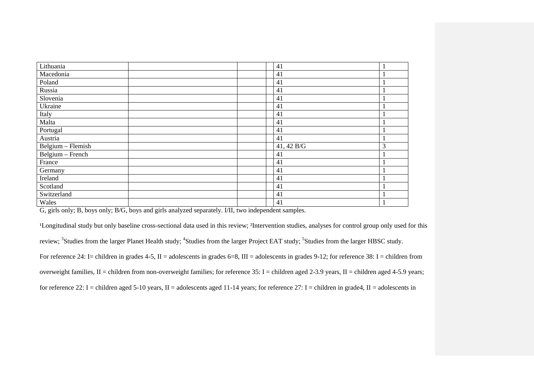| Lithuania         | 41         |   |
|-------------------|------------|---|
| Macedonia         | 41         |   |
| Poland            | 41         |   |
| Russia            | 41         |   |
| Slovenia          | 41         |   |
| Ukraine           | 41         |   |
| Italy             | 41         |   |
| Malta             | 41         |   |
| Portugal          | 41         |   |
| Austria           | 41         |   |
| Belgium - Flemish | 41, 42 B/G | 3 |
| Belgium - French  | 41         |   |
| France            | 41         |   |
| Germany           | 41         |   |
| Ireland           | 41         |   |
| Scotland          | 41         |   |
| Switzerland       | 41         |   |
| Wales             | 41         |   |

G, girls only; B, boys only; B/G, boys and girls analyzed separately. I/II, two independent samples.

<sup>1</sup>Longitudinal study but only baseline cross-sectional data used in this review; <sup>2</sup>Intervention studies, analyses for control group only used for this review; <sup>3</sup>Studies from the larger Planet Health study; <sup>4</sup>Studies from the larger Project EAT study; <sup>5</sup>Studies from the larger HBSC study. For reference 24: I= children in grades 4-5, II = adolescents in grades 6=8, III = adolescents in grades 9-12; for reference 38: I = children from overweight families, II = children from non-overweight families; for reference  $35$ : I = children aged  $2-3.9$  years, II = children aged  $4-5.9$  years; for reference 22: I = children aged 5-10 years, II = adolescents aged 11-14 years; for reference 27: I = children in grade4, II = adolescents in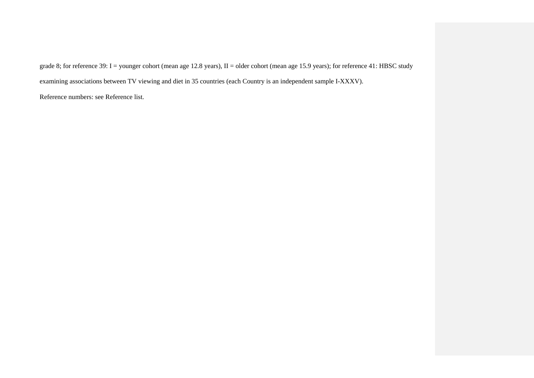grade 8; for reference 39: I = younger cohort (mean age 12.8 years), II = older cohort (mean age 15.9 years); for reference 41: HBSC study

examining associations between TV viewing and diet in 35 countries (each Country is an independent sample I-XXXV).

Reference numbers: see Reference list.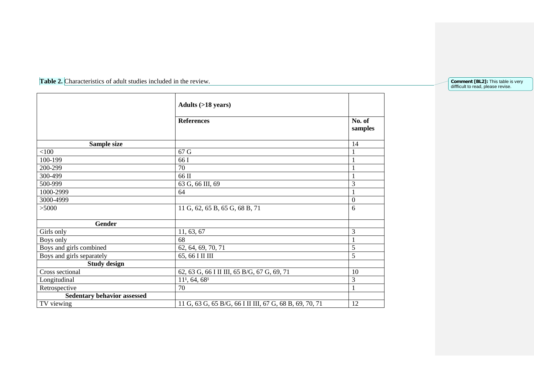Table 2. Characteristics of adult studies included in the review.

|                                    | <b>Adults (&gt;18 years)</b>                            |                   |
|------------------------------------|---------------------------------------------------------|-------------------|
|                                    | <b>References</b>                                       | No. of<br>samples |
| Sample size                        |                                                         | 14                |
| < 100                              | 67 G                                                    | $\mathbf{1}$      |
| 100-199                            | 66 I                                                    | 1                 |
| 200-299                            | 70                                                      | $\mathbf{1}$      |
| 300-499                            | 66 II                                                   | $\mathbf{1}$      |
| 500-999                            | 63 G, 66 III, 69                                        | 3                 |
| 1000-2999                          | 64                                                      | $\mathbf{1}$      |
| 3000-4999                          |                                                         | $\overline{0}$    |
| >5000                              | 11 G, 62, 65 B, 65 G, 68 B, 71                          | 6                 |
| Gender                             |                                                         |                   |
| Girls only                         | 11, 63, 67                                              | 3                 |
| Boys only                          | 68                                                      | 1                 |
| Boys and girls combined            | 62, 64, 69, 70, 71                                      | 5                 |
| Boys and girls separately          | 65, 66 I II III                                         | 5                 |
| <b>Study design</b>                |                                                         |                   |
| Cross sectional                    | 62, 63 G, 66 I II III, 65 B/G, 67 G, 69, 71             | 10                |
| Longitudinal                       | 111, 64, 681                                            | 3                 |
| Retrospective                      | 70                                                      | $\mathbf{1}$      |
| <b>Sedentary behavior assessed</b> |                                                         |                   |
| TV viewing                         | 11 G, 63 G, 65 B/G, 66 I II III, 67 G, 68 B, 69, 70, 71 | 12                |

**Comment [BL2]:** This table is very diffficult to read, please revise.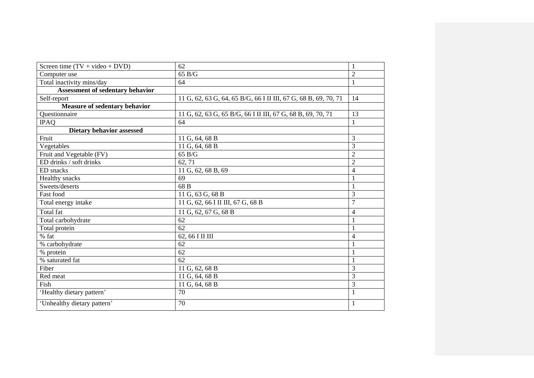| Screen time $(TV + video + DVD)$ | 62                                                              | 1                        |
|----------------------------------|-----------------------------------------------------------------|--------------------------|
| Computer use                     | 65 B/G                                                          | $\overline{2}$           |
| Total inactivity mins/day        | 64                                                              | $\mathbf{1}$             |
| Assessment of sedentary behavior |                                                                 |                          |
| Self-report                      | 11 G, 62, 63 G, 64, 65 B/G, 66 I II III, 67 G, 68 B, 69, 70, 71 | 14                       |
| Measure of sedentary behavior    |                                                                 |                          |
| Ouestionnaire                    | 11 G, 62, 63 G, 65 B/G, 66 I II III, 67 G, 68 B, 69, 70, 71     | 13                       |
| <b>IPAQ</b>                      | 64                                                              | 1                        |
| <b>Dietary behavior assessed</b> |                                                                 |                          |
| Fruit                            | 11 G, 64, 68 B                                                  | 3                        |
| Vegetables                       | 11 G, 64, 68 B                                                  | 3                        |
| Fruit and Vegetable (FV)         | 65 B/G                                                          | $\overline{2}$           |
| ED drinks / soft drinks          | 62, 71                                                          | $\overline{2}$           |
| ED snacks                        | 11 G, 62, 68 B, 69                                              | $\overline{\mathcal{L}}$ |
| Healthy snacks                   | 69                                                              | $\mathbf{1}$             |
| Sweets/deserts                   | 68 <sub>B</sub>                                                 | 1                        |
| Fast food                        | 11 G, 63 G, 68 B                                                | 3                        |
| Total energy intake              | 11 G, 62, 66 I II III, 67 G, 68 B                               | $\overline{7}$           |
| Total fat                        | 11 G, 62, 67 G, 68 B                                            | $\overline{4}$           |
| Total carbohydrate               | 62                                                              | $\mathbf{1}$             |
| Total protein                    | $\overline{62}$                                                 | $\mathbf{1}$             |
| % fat                            | 62, 66 I II III                                                 | 4                        |
| % carbohydrate                   | 62                                                              | $\mathbf{1}$             |
| % protein                        | 62                                                              | $\mathbf{1}$             |
| % saturated fat                  | 62                                                              | $\mathbf{1}$             |
| Fiber                            | 11 G, 62, 68 B                                                  | 3                        |
| Red meat                         | 11 G, 64, 68 B                                                  | 3                        |
| Fish                             | 11 G, 64, 68 B                                                  | 3                        |
| 'Healthy dietary pattern'        | 70                                                              | 1                        |
| 'Unhealthy dietary pattern'      | 70                                                              |                          |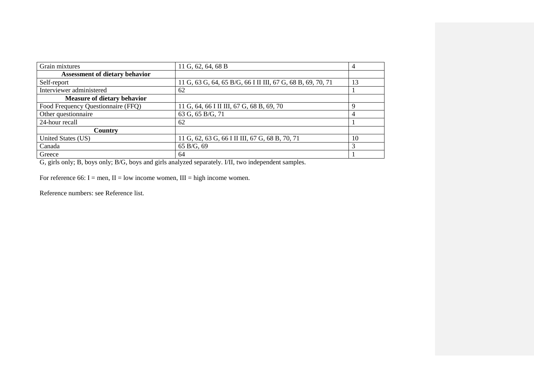| Grain mixtures                        | 11 G, 62, 64, 68 B                                          | $\overline{4}$ |
|---------------------------------------|-------------------------------------------------------------|----------------|
| <b>Assessment of dietary behavior</b> |                                                             |                |
| Self-report                           | 11 G, 63 G, 64, 65 B/G, 66 I II III, 67 G, 68 B, 69, 70, 71 | 13             |
| Interviewer administered              | 62                                                          |                |
| <b>Measure of dietary behavior</b>    |                                                             |                |
| Food Frequency Questionnaire (FFQ)    | 11 G, 64, 66 I II III, 67 G, 68 B, 69, 70                   | Q              |
| Other questionnaire                   | 63 G, 65 B/G, 71                                            | 4              |
| 24-hour recall                        | 62                                                          |                |
| Country                               |                                                             |                |
| United States (US)                    | 11 G, 62, 63 G, 66 I II III, 67 G, 68 B, 70, 71             | 10             |
| Canada                                | 65 B/G, 69                                                  | 3              |
| Greece                                | 64                                                          |                |

G, girls only; B, boys only; B/G, boys and girls analyzed separately. I/II, two independent samples.

For reference 66: I = men, II = low income women, III = high income women.

Reference numbers: see Reference list.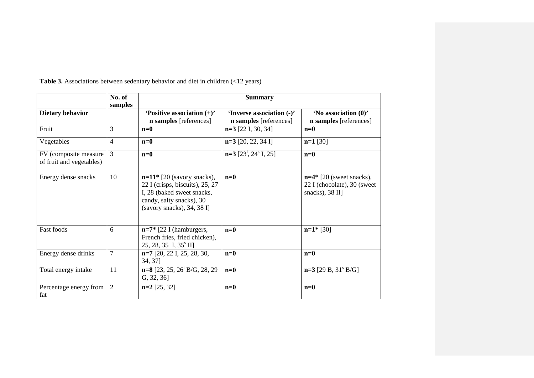|                                                   | No. of<br>samples |                                                                                                                                                                               | <b>Summary</b>                                  |                                                                               |
|---------------------------------------------------|-------------------|-------------------------------------------------------------------------------------------------------------------------------------------------------------------------------|-------------------------------------------------|-------------------------------------------------------------------------------|
| <b>Dietary behavior</b>                           |                   | 'Positive association $(+)$ '                                                                                                                                                 | 'Inverse association (-)'                       | 'No association (0)'                                                          |
|                                                   |                   | n samples [references]                                                                                                                                                        | n samples [references]                          | <b>n</b> samples [references]                                                 |
| Fruit                                             | 3                 | $n=0$                                                                                                                                                                         | $n=3$ [22 I, 30, 34]                            | $n=0$                                                                         |
| Vegetables                                        | 4                 | $n=0$                                                                                                                                                                         | $n=3$ [20, 22, 34 I]                            | $n=1$ [30]                                                                    |
| FV (composite measure<br>of fruit and vegetables) | 3                 | $n=0$                                                                                                                                                                         | $n=3$ [23 <sup>1</sup> , 24 <sup>s</sup> I, 25] | $n=0$                                                                         |
| Energy dense snacks                               | 10                | $n=11$ <sup>*</sup> [20 (savory snacks),<br>22 I (crisps, biscuits), $25$ , $27$<br>I, 28 (baked sweet snacks,<br>candy, salty snacks), 30<br>(savory snacks), $34$ , $38$ I] | $n=0$                                           | $n=4*$ [20 (sweet snacks),<br>22 I (chocolate), 30 (sweet)<br>snacks), 38 II] |
| Fast foods                                        | 6                 | $n=7*$ [22 I (hamburgers,<br>French fries, fried chicken),<br>25, 28, $35^{\circ}$ I, $35^{\circ}$ II]                                                                        | $n=0$                                           | $n=1*$ [30]                                                                   |
| Energy dense drinks                               | $\overline{7}$    | $n=7$ [20, 22 I, 25, 28, 30,<br>34, 37]                                                                                                                                       | $n=0$                                           | $n=0$                                                                         |
| Total energy intake                               | 11                | $n=8$ [23, 25, 26 <sup>1</sup> B/G, 28, 29<br>G, 32, 36                                                                                                                       | $n=0$                                           | $n=3$ [29 B, 31 <sup>s</sup> B/G]                                             |
| Percentage energy from<br>fat                     | $\overline{2}$    | $n=2$ [25, 32]                                                                                                                                                                | $n=0$                                           | $n=0$                                                                         |

**Table 3.** Associations between sedentary behavior and diet in children (<12 years)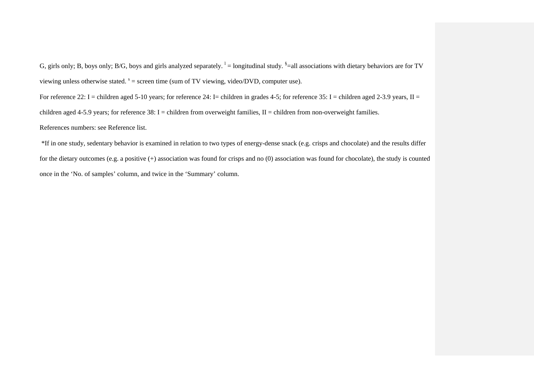G, girls only; B, boys only; B/G, boys and girls analyzed separately.  $\frac{1}{n}$  = longitudinal study.  $\frac{8}{n}$  = all associations with dietary behaviors are for TV viewing unless otherwise stated.  $s =$  screen time (sum of TV viewing, video/DVD, computer use).

For reference 22: I = children aged 5-10 years; for reference 24: I = children in grades 4-5; for reference 35: I = children aged 2-3.9 years, II = children aged 4-5.9 years; for reference 38: I = children from overweight families, II = children from non-overweight families. References numbers: see Reference list.

\*If in one study, sedentary behavior is examined in relation to two types of energy-dense snack (e.g. crisps and chocolate) and the results differ for the dietary outcomes (e.g. a positive (+) association was found for crisps and no (0) association was found for chocolate), the study is counted once in the 'No. of samples' column, and twice in the 'Summary' column.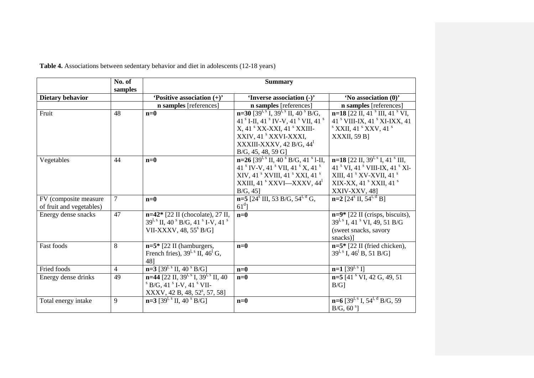|                          | No. of<br>samples | <b>Summary</b>                                                           |                                                                                  |                                                           |  |
|--------------------------|-------------------|--------------------------------------------------------------------------|----------------------------------------------------------------------------------|-----------------------------------------------------------|--|
| Dietary behavior         |                   | 'Positive association $(+)$ '                                            | 'Inverse association (-)'                                                        | 'No association (0)'                                      |  |
|                          |                   | n samples [references]                                                   | n samples [references]                                                           | n samples [references]                                    |  |
| Fruit                    | 48                | $n=0$                                                                    | $n=30$ [39 <sup>1, s</sup> I, 39 <sup>1, s</sup> II, 40 <sup>s</sup> B/G,        | $n=18$ [22 II, 41 <sup>s</sup> III, 41 <sup>s</sup> VI,   |  |
|                          |                   |                                                                          | 41 <sup>s</sup> I-II, 41 <sup>s</sup> IV-V, 41 <sup>s</sup> VII, 41 <sup>s</sup> | 41 ° VIII-IX, 41 ° XI-IXX, 41                             |  |
|                          |                   |                                                                          | X, 41 ° XX-XXI, 41 ° XXIII-                                                      | $S$ XXII, 41 $S$ XXV, 41 $S$                              |  |
|                          |                   |                                                                          | XXIV, 41 <sup>s</sup> XXVI-XXXI,                                                 | <b>XXXII, 59 B</b>                                        |  |
|                          |                   |                                                                          | XXXIII-XXXV, 42 B/G, $441$                                                       |                                                           |  |
|                          |                   |                                                                          | B/G, 45, 48, 59 G                                                                |                                                           |  |
| Vegetables               | 44                | $n=0$                                                                    | $n=26$ [39 <sup>1, s</sup> II, 40 <sup>s</sup> B/G, 41 <sup>s</sup> 1-II,        | $n=18$ [22 II, 39 <sup>1, s</sup> I, 41 <sup>s</sup> III, |  |
|                          |                   |                                                                          | 41 S IV-V, 41 S VII, 41 S X, 41 S                                                | 41 ° VI, 41 ° VIII-IX, 41 ° XI-                           |  |
|                          |                   |                                                                          | XIV, 41 <sup>s</sup> XVIII, 41 <sup>s</sup> XXI, 41 <sup>s</sup>                 | XIII, 41 $\mathrm{V}$ XV-XVII, 41 $\mathrm{V}$            |  |
|                          |                   |                                                                          | XXIII, 41 <sup>s</sup> XXVI—XXXV, 44 <sup>1</sup>                                | XIX-XX, 41 ° XXII, 41 °                                   |  |
|                          |                   |                                                                          | B/G, 45]                                                                         | XXIV-XXV, 48]                                             |  |
| FV (composite measure    | $\tau$            | $n=0$                                                                    | $n=5$ [24 <sup>s</sup> III, 53 B/G, 54 <sup>l, d</sup> G,                        | $n=2$ [24 <sup>s</sup> II, 54 <sup>l, d</sup> B]          |  |
| of fruit and vegetables) |                   |                                                                          | $61d$ ]                                                                          |                                                           |  |
| Energy dense snacks      | 47                | $n=42$ [22 II (chocolate), 27 II,                                        | $n=0$                                                                            | $n=9*$ [22 II (crisps, biscuits),                         |  |
|                          |                   | $39^{l,s}$ II, 40 <sup>s</sup> B/G, 41 <sup>s</sup> I-V, 41 <sup>s</sup> |                                                                                  | $39^{l, s}$ I, 41 <sup>s</sup> VI, 49, 51 B/G             |  |
|                          |                   | VII-XXXV, $48,55^{\circ}$ B/G]                                           |                                                                                  | (sweet snacks, savory                                     |  |
|                          |                   |                                                                          |                                                                                  | snacks)]                                                  |  |
| Fast foods               | 8                 | $n=5*$ [22 II (hamburgers,                                               | $n=0$                                                                            | $n=5$ * [22 II (fried chicken),                           |  |
|                          |                   | French fries), $39^{1.5}$ II, $46^{1}$ G,                                |                                                                                  | $39^{1,8}$ I, $46^{1}$ B, 51 B/G]                         |  |
|                          |                   | 48]                                                                      |                                                                                  |                                                           |  |
| Fried foods              | $\overline{4}$    | $n=3$ [39 <sup>1, s</sup> II, 40 <sup>s</sup> B/G]                       | $n=0$                                                                            | $n=1$ [39 <sup>1, s</sup> I]                              |  |
| Energy dense drinks      | 49                | $n=44$ [22 II, 39 <sup>1, s</sup> I, 39 <sup>1, s</sup> II, 40           | $n=0$                                                                            | $n=5$ [41 $\mathrm{V}$ VI, 42 G, 49, 51                   |  |
|                          |                   | $\rm{^{8}}$ B/G, 41 $\rm{^{8}}$ I-V, 41 $\rm{^{8}}$ VII-                 |                                                                                  | $B/G$ ]                                                   |  |
|                          |                   | XXXV, 42 B, 48, 52 <sup>s</sup> , 57, 58]                                |                                                                                  |                                                           |  |
| Total energy intake      | 9                 | $n=3$ [39 <sup>l, s</sup> II, 40 <sup>s</sup> B/G]                       | $n=0$                                                                            | $n=6$ [39 <sup>l, s</sup> I, 54 <sup>l, d</sup> B/G, 59   |  |
|                          |                   |                                                                          |                                                                                  | $B/G$ , 60 $s$ ]                                          |  |

**Table 4.** Associations between sedentary behavior and diet in adolescents (12-18 years)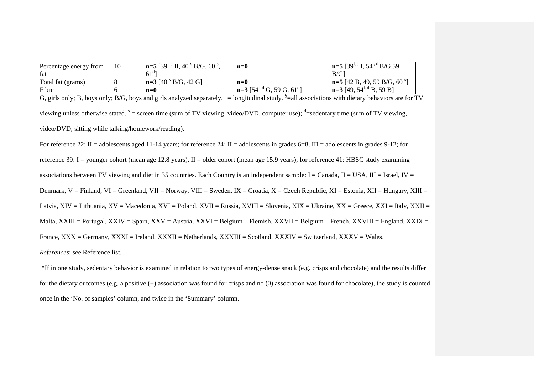| Percentage energy from | 10 | $n=5$ [39 <sup>t, s</sup> II, 40 <sup>s</sup> B/G, 60 <sup>s</sup> , | $n=0$                                                | $n=5$ [39 <sup>t, s</sup> I, 54 <sup>t, d</sup> B/G 59 |
|------------------------|----|----------------------------------------------------------------------|------------------------------------------------------|--------------------------------------------------------|
| fat                    |    | $61^{d}$                                                             |                                                      | B/G                                                    |
| Total fat (grams)      |    | $n=3$ [40 $^{8}$ B/G, 42 G]                                          | $n=0$                                                | $n=5$ [42 B, 49, 59 B/G, 60 $^{8}$ ]                   |
| Fibre                  |    | $n=0$                                                                | $n=3$ [54 <sup>t, d</sup> G, 59 G, 61 <sup>d</sup> ] | $n=3$ [49, 54 <sup>t, a</sup> B, 59 B]                 |

G, girls only; B, boys only; B/G, boys and girls analyzed separately.  $\frac{1}{s}$  = longitudinal study.  $\frac{s}{s}$  = all associations with dietary behaviors are for TV viewing unless otherwise stated.  $s =$  screen time (sum of TV viewing, video/DVD, computer use);  $d =$  sedentary time (sum of TV viewing, video/DVD, sitting while talking/homework/reading).

For reference 22: II = adolescents aged 11-14 years; for reference 24: II = adolescents in grades 6=8, III = adolescents in grades 9-12; for reference 39: I = younger cohort (mean age 12.8 years), II = older cohort (mean age 15.9 years); for reference 41: HBSC study examining associations between TV viewing and diet in 35 countries. Each Country is an independent sample: I = Canada, II = USA, III = Israel, IV = Denmark, V = Finland, VI = Greenland, VII = Norway, VIII = Sweden, IX = Croatia, X = Czech Republic, XI = Estonia, XII = Hungary, XIII = Latvia, XIV = Lithuania, XV = Macedonia, XVI = Poland, XVII = Russia, XVIII = Slovenia, XIX = Ukraine, XX = Greece, XXI = Italy, XXII = Malta, XXIII = Portugal, XXIV = Spain, XXV = Austria, XXVI = Belgium – Flemish, XXVII = Belgium – French, XXVIII = England, XXIX = France, XXX = Germany, XXXI = Ireland, XXXII = Netherlands, XXXIII = Scotland, XXXIV = Switzerland, XXXV = Wales. *References*: see Reference list.

\*If in one study, sedentary behavior is examined in relation to two types of energy-dense snack (e.g. crisps and chocolate) and the results differ for the dietary outcomes (e.g. a positive (+) association was found for crisps and no (0) association was found for chocolate), the study is counted once in the 'No. of samples' column, and twice in the 'Summary' column.